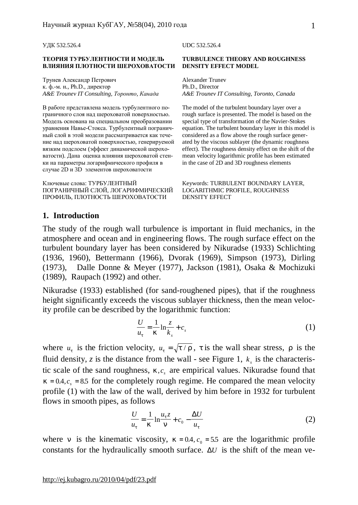УДК 532.526.4 UDC 532.526.4

#### **ТЕОРИЯ ТУРБУЛЕНТНОСТИ И МОДЕЛЬ ВЛИЯНИЯ ПЛОТНОСТИ ШЕРОХОВАТОСТИ**

Трунев Александр Петрович к. ф.-м. н., Ph.D., директор *A&E Trounev IT Consulting, Торонто, Канада A&E Trounev IT Consulting, Toronto, Canada* 

В работе представлена модель турбулентного пограничного слоя над шероховатой поверхностью. Модель основана на специальном преобразовании уравнения Навье-Стокса. Турбулентный пограничный слой в этой модели рассматривается как течение над шероховатой поверхностью, генерируемой вязким подслоем (эффект динамической шероховатости). Дана оценка влияния шероховатой стенки на параметры логарифмического профиля в случае 2D и 3D элементов шероховатости

Ключевые слова: ТУРБУЛЕНТНЫЙ ПОГРАНИЧНЫЙ СЛОЙ, ЛОГАРИФМИЧЕСКИЙ ПРОФИЛЬ, ПЛОТНОСТЬ ШЕРОХОВАТОСТИ

#### **TURBULENCE THEORY AND ROUGHNESS DENSITY EFFECT MODEL**

Alexander Trunev Ph.D., Director

The model of the turbulent boundary layer over a rough surface is presented. The model is based on the special type of transformation of the Navier-Stokes equation. The turbulent boundary layer in this model is considered as a flow above the rough surface generated by the viscous sublayer (the dynamic roughness effect). The roughness density effect on the shift of the mean velocity logarithmic profile has been estimated in the case of 2D and 3D roughness elements

Keywords: TURBULENT BOUNDARY LAYER, LOGARITHMIC PROFILE, ROUGHNESS DENSITY EFFECT

#### **1. Introduction**

The study of the rough wall turbulence is important in fluid mechanics, in the atmosphere and ocean and in engineering flows. The rough surface effect on the turbulent boundary layer has been considered by Nikuradse (1933) Schlichting (1936, 1960), Bettermann (1966), Dvorak (1969), Simpson (1973), Dirling (1973), Dalle Donne & Meyer (1977), Jackson (1981), Osaka & Mochizuki (1989), Raupach (1992) and other.

Nikuradse (1933) established (for sand-roughened pipes), that if the roughness height significantly exceeds the viscous sublayer thickness, then the mean velocity profile can be described by the logarithmic function:

$$
\frac{U}{u_t} = \frac{1}{k} \ln \frac{z}{k_s} + c_s \tag{1}
$$

where  $u_t$  is the friction velocity,  $u_t = \sqrt{t/r}$ , *t* is the wall shear stress, *r* is the fluid density, *z* is the distance from the wall - see Figure 1,  $k_s$  is the characteristic scale of the sand roughness,  $k, c<sub>s</sub>$  are empirical values. Nikuradse found that  $k = 0.4$ ,  $c_s = 8.5$  for the completely rough regime. He compared the mean velocity profile (1) with the law of the wall, derived by him before in 1932 for turbulent flows in smooth pipes, as follows

$$
\frac{U}{u_t} = \frac{1}{k} \ln \frac{u_t z}{n} + c_0 - \frac{\Delta U}{u_t}
$$
 (2)

where *n* is the kinematic viscosity,  $k = 0.4$ ,  $c_0 = 5.5$  are the logarithmic profile constants for the hydraulically smooth surface. Δ*U* is the shift of the mean ve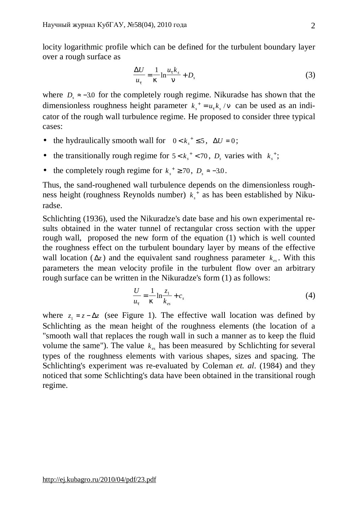locity logarithmic profile which can be defined for the turbulent boundary layer over a rough surface as

$$
\frac{\Delta U}{u_t} = \frac{1}{k} \ln \frac{u_t k_s}{n} + D_s \tag{3}
$$

where  $D<sub>s</sub> \approx -3.0$  for the completely rough regime. Nikuradse has shown that the dimensionless roughness height parameter  $k_s^+ = u_t k_s / n$  can be used as an indicator of the rough wall turbulence regime. He proposed to consider three typical cases:

- the hydraulically smooth wall for  $0 < k_s^+ \le 5$ ,  $\Delta U = 0$ ;
- the transitionally rough regime for  $5 < k_s^+ < 70$ ,  $D_s$  varies with  $k_s^+$ ;
- the completely rough regime for  $k_s^+ \ge 70$ ,  $D_s \approx -3.0$ .

Thus, the sand-roughened wall turbulence depends on the dimensionless roughness height (roughness Reynolds number) *k<sup>s</sup>* + as has been established by Nikuradse.

Schlichting (1936), used the Nikuradze's date base and his own experimental results obtained in the water tunnel of rectangular cross section with the upper rough wall, proposed the new form of the equation (1) which is well counted the roughness effect on the turbulent boundary layer by means of the effective wall location ( $\Delta z$ ) and the equivalent sand roughness parameter  $k_{es}$ . With this parameters the mean velocity profile in the turbulent flow over an arbitrary rough surface can be written in the Nikuradze's form (1) as follows:

$$
\frac{U}{u_t} = \frac{1}{k} \ln \frac{z_1}{k_{es}} + c_s
$$
 (4)

where  $z_1 = z - \Delta z$  (see Figure 1). The effective wall location was defined by Schlichting as the mean height of the roughness elements (the location of a "smooth wall that replaces the rough wall in such a manner as to keep the fluid volume the same"). The value  $k_{\epsilon s}$  has been measured by Schlichting for several types of the roughness elements with various shapes, sizes and spacing. The Schlichting's experiment was re-evaluated by Coleman *et. al*. (1984) and they noticed that some Schlichting's data have been obtained in the transitional rough regime.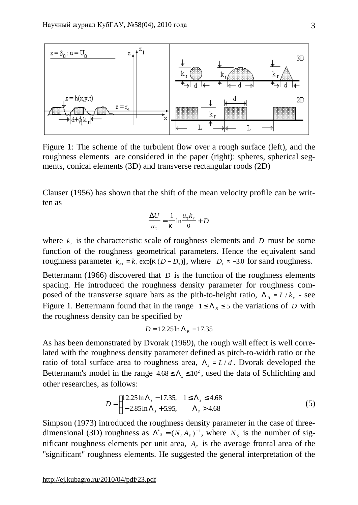

Figure 1: The scheme of the turbulent flow over a rough surface (left), and the roughness elements are considered in the paper (right): spheres, spherical segments, conical elements (3D) and transverse rectangular roods (2D)

Clauser (1956) has shown that the shift of the mean velocity profile can be written as

$$
\frac{\Delta U}{u_t} = \frac{1}{k} \ln \frac{u_t k_r}{n} + D
$$

where  $k<sub>r</sub>$  is the characteristic scale of roughness elements and *D* must be some function of the roughness geometrical parameters. Hence the equivalent sand roughness parameter  $k_{es} = k_r \exp[k(D - D_s)]$ , where  $D_s \approx -3.0$  for sand roughness.

Bettermann (1966) discovered that *D* is the function of the roughness elements spacing. He introduced the roughness density parameter for roughness composed of the transverse square bars as the pith-to-height ratio,  $\Lambda_B = L/k_r$  - see Figure 1. Bettermann found that in the range  $1 \leq \Lambda_B \leq 5$  the variations of *D* with the roughness density can be specified by

$$
D = 12.25 \ln \Lambda_B - 17.35
$$

As has been demonstrated by Dvorak (1969), the rough wall effect is well correlated with the roughness density parameter defined as pitch-to-width ratio or the ratio of total surface area to roughness area,  $\Lambda$ <sub>s</sub> = *L*/*d*. Dvorak developed the Bettermann's model in the range  $4.68 \le \Lambda_s \le 10^2$ , used the data of Schlichting and other researches, as follows:

$$
D = \begin{cases} 12.25 \ln \Lambda_s - 17.35, & 1 \le \Lambda_s \le 4.68 \\ -2.85 \ln \Lambda_s + 5.95, & \Lambda_s > 4.68 \end{cases}
$$
(5)

Simpson (1973) introduced the roughness density parameter in the case of threedimensional (3D) roughness as  $\Lambda^*$ <sub>*s*</sub> =  $(N_s A_F)^{-1}$ , where  $N_s$  is the number of significant roughness elements per unit area,  $A_F$  is the average frontal area of the "significant" roughness elements. He suggested the general interpretation of the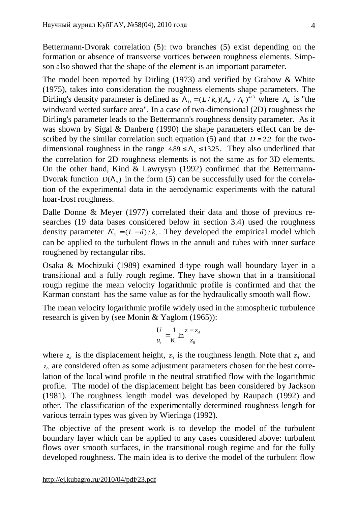Bettermann-Dvorak correlation (5): two branches (5) exist depending on the formation or absence of transverse vortices between roughness elements. Simpson also showed that the shape of the element is an important parameter.

The model been reported by Dirling (1973) and verified by Grabow & White (1975), takes into consideration the roughness elements shape parameters. The Dirling's density parameter is defined as  $\Lambda_D = (L/k_r)(A_W / A_F)^{4/3}$  where  $A_W$  is "the windward wetted surface area". In a case of two-dimensional (2D) roughness the Dirling's parameter leads to the Bettermann's roughness density parameter. As it was shown by Sigal & Danberg (1990) the shape parameters effect can be described by the similar correlation such equation (5) and that  $D = 2.2$  for the twodimensional roughness in the range  $4.89 \le \Lambda_s \le 13.25$ . They also underlined that the correlation for 2D roughness elements is not the same as for 3D elements. On the other hand, Kind & Lawrysyn (1992) confirmed that the Bettermann-Dvorak function  $D(\Lambda_s)$  in the form (5) can be successfully used for the correlation of the experimental data in the aerodynamic experiments with the natural hoar-frost roughness.

Dalle Donne & Meyer (1977) correlated their data and those of previous researches (19 data bases considered below in section 3.4) used the roughness density parameter  $\Lambda_D^* = (L - d) / k_r$ . They developed the empirical model which can be applied to the turbulent flows in the annuli and tubes with inner surface roughened by rectangular ribs.

Osaka & Mochizuki (1989) examined d-type rough wall boundary layer in a transitional and a fully rough regime. They have shown that in a transitional rough regime the mean velocity logarithmic profile is confirmed and that the Karman constant has the same value as for the hydraulically smooth wall flow.

The mean velocity logarithmic profile widely used in the atmospheric turbulence research is given by (see Monin & Yaglom (1965)):

$$
\frac{U}{u_t} = \frac{1}{k} \ln \frac{z - z_d}{z_0}
$$

where  $z_d$  is the displacement height,  $z_0$  is the roughness length. Note that  $z_d$  and  $z_0$  are considered often as some adjustment parameters chosen for the best correlation of the local wind profile in the neutral stratified flow with the logarithmic profile. The model of the displacement height has been considered by Jackson (1981). The roughness length model was developed by Raupach (1992) and other. The classification of the experimentally determined roughness length for various terrain types was given by Wieringa (1992).

The objective of the present work is to develop the model of the turbulent boundary layer which can be applied to any cases considered above: turbulent flows over smooth surfaces, in the transitional rough regime and for the fully developed roughness. The main idea is to derive the model of the turbulent flow

<http://ej.kubagro.ru/2010/04/pdf/23.pdf>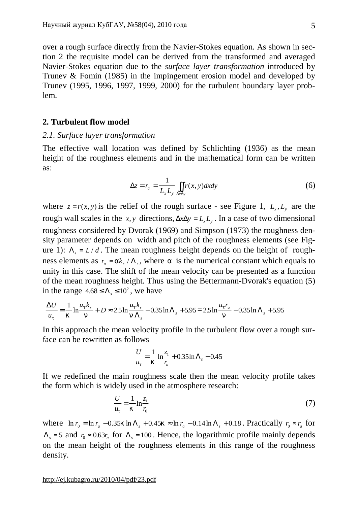over a rough surface directly from the Navier-Stokes equation. As shown in section 2 the requisite model can be derived from the transformed and averaged Navier-Stokes equation due to the *surface layer transformation* introduced by Trunev & Fomin (1985) in the impingement erosion model and developed by Trunev (1995, 1996, 1997, 1999, 2000) for the turbulent boundary layer problem.

### **2. Turbulent flow model**

### *2.1. Surface layer transformation*

The effective wall location was defined by Schlichting (1936) as the mean height of the roughness elements and in the mathematical form can be written as:

$$
\Delta z = r_a = \frac{1}{L_x L_y} \iint_{\Delta x \Delta y} r(x, y) dx dy
$$
 (6)

where  $z = r(x, y)$  is the relief of the rough surface - see Figure 1,  $L_x, L_y$  are the rough wall scales in the *x*, *y* directions,  $\Delta x \Delta y = L_x L_y$ . In a case of two dimensional roughness considered by Dvorak (1969) and Simpson (1973) the roughness density parameter depends on width and pitch of the roughness elements (see Figure 1):  $\Lambda_s = L/d$ . The mean roughness height depends on the height of roughness elements as  $r_a = ak_r / \Lambda_s$ , where *a* is the numerical constant which equals to unity in this case. The shift of the mean velocity can be presented as a function of the mean roughness height. Thus using the Bettermann-Dvorak's equation (5) in the range  $4.68 \le \Lambda_s \le 10^2$ , we have

$$
\frac{\Delta U}{u_t} = \frac{1}{k} \ln \frac{u_t k_r}{n} + D \approx 2.5 \ln \frac{u_t k_r}{n \Lambda_s} - 0.35 \ln \Lambda_s + 5.95 = 2.5 \ln \frac{u_t r_a}{n} - 0.35 \ln \Lambda_s + 5.95
$$

In this approach the mean velocity profile in the turbulent flow over a rough surface can be rewritten as follows

$$
\frac{U}{u_t} = \frac{1}{k} \ln \frac{z_1}{r_a} + 0.35 \ln \Lambda_s - 0.45
$$

If we redefined the main roughness scale then the mean velocity profile takes the form which is widely used in the atmosphere research:

$$
\frac{U}{u_t} = \frac{1}{k} \ln \frac{z_1}{r_0} \tag{7}
$$

where  $\ln r_0 = \ln r_a - 0.35k \ln \Lambda_s + 0.45k \approx \ln r_a - 0.14 \ln \Lambda_s + 0.18$ . Practically  $r_0 \approx r_a$  for  $\Lambda_s = 5$  and  $r_0 \approx 0.63 r_a$  for  $\Lambda_s = 100$ . Hence, the logarithmic profile mainly depends on the mean height of the roughness elements in this range of the roughness density.

<http://ej.kubagro.ru/2010/04/pdf/23.pdf>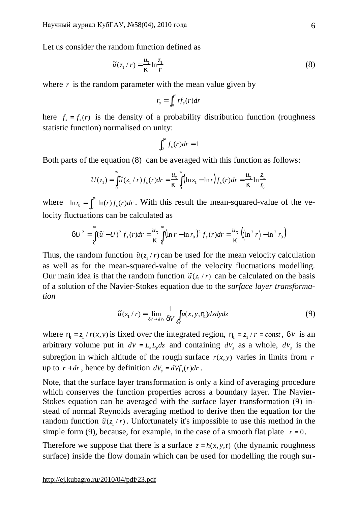Let us consider the random function defined as

$$
\tilde{u}(z_1/r) = \frac{u_t}{k} \ln \frac{z_1}{r}
$$
 (8)

where  $r$  is the random parameter with the mean value given by

$$
r_a = \int_0^\infty r f_s(r) dr
$$

here  $f_s = f_s(r)$  is the density of a probability distribution function (roughness statistic function) normalised on unity:

$$
\int_0^\infty f_s(r)dr=1
$$

Both parts of the equation (8) can be averaged with this function as follows:

$$
U(z_1) = \int_{0}^{\infty} \tilde{u}(z_1 / r) f_s(r) dr = \frac{u_t}{k} \int_{0}^{\infty} (\ln z_1 - \ln r) f_s(r) dr = \frac{u_t}{k} \ln \frac{z_1}{r_0}
$$

where  $\ln r_0 = \int_0^\infty \ln(r) f_s(r) dr$ . With this result the mean-squared-value of the velocity fluctuations can be calculated as

$$
dU^{2} = \int_{0}^{\infty} (\tilde{u} - U)^{2} f_{s}(r) dr = \frac{u_{t}}{k} \int_{0}^{\infty} (\ln r - \ln r_{0})^{2} f_{s}(r) dr = \frac{u_{t}}{k} (\ln^{2} r) - \ln^{2} r_{0}
$$

Thus, the random function  $\tilde{u}(z_1/r)$  can be used for the mean velocity calculation as well as for the mean-squared-value of the velocity fluctuations modelling. Our main idea is that the random function  $\tilde{u}(z_1/r)$  can be calculated on the basis of a solution of the Navier-Stokes equation due to the *surface layer transformation*

$$
\widetilde{u}(z_1/r) = \lim_{dV \to dV_s} \frac{1}{dV} \int_{dV} u(x, y, h_1) dx dy dz
$$
\n(9)

where  $h_1 = z_1 / r(x, y)$  is fixed over the integrated region,  $h_1 = z_1 / r = const$ , *dV* is an arbitrary volume put in  $dV = L_x L_y dz$  and containing  $dV_s$  as a whole,  $dV_s$  is the subregion in which altitude of the rough surface  $r(x, y)$  varies in limits from *r* up to  $r + dr$ , hence by definition  $dV_s = dVf_s(r)dr$ .

Note, that the surface layer transformation is only a kind of averaging procedure which conserves the function properties across a boundary layer. The Navier-Stokes equation can be averaged with the surface layer transformation (9) instead of normal Reynolds averaging method to derive then the equation for the random function  $\tilde{u}(z_1/r)$ . Unfortunately it's impossible to use this method in the simple form (9), because, for example, in the case of a smooth flat plate  $r = 0$ .

Therefore we suppose that there is a surface  $z = h(x, y, t)$  (the dynamic roughness surface) inside the flow domain which can be used for modelling the rough sur-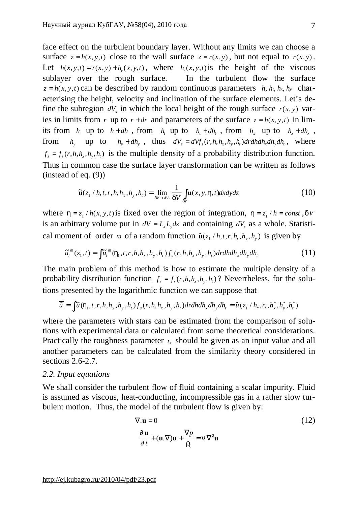face effect on the turbulent boundary layer. Without any limits we can choose a surface  $z = h(x, y, t)$  close to the wall surface  $z = r(x, y)$ , but not equal to  $r(x, y)$ . Let  $h(x, y, t) = r(x, y) + h_r(x, y, t)$ , where  $h_r(x, y, t)$  is the height of the viscous sublayer over the rough surface. In the turbulent flow the surface  $z = h(x, y, t)$  can be described by random continuous parameters *h, h<sub>t</sub>, h<sub>x</sub>, h<sub>y</sub>* characterising the height, velocity and inclination of the surface elements. Let's define the subregion  $dV$ <sub>*s*</sub> in which the local height of the rough surface  $r(x, y)$  varies in limits from *r* up to  $r + dr$  and parameters of the surface  $z = h(x, y, t)$  in limits from *h* up to  $h + dh$ , from  $h_t$  up to  $h_t + dh_t$ , from  $h_x$  up to  $h_x + dh_x$ , from  $h_y$  up to  $h_y + dh_y$ , thus  $dV_s = dVf_s(r, h, h_x, h_y, h_t) dr dh dh_x dh_y dh_t$ , where  $f_s = f_s(r, h, h_x, h_y, h_t)$  is the multiple density of a probability distribution function. Thus in common case the surface layer transformation can be written as follows (instead of eq. (9))

$$
\widetilde{\mathbf{u}}(z_1/h, t, r, h, h_x, h_y, h_t) = \lim_{dV \to dV_s} \frac{1}{dV} \int_{dV} \mathbf{u}(x, y, h, t) dx dy dz
$$
\n(10)

where  $h = z_1 / h(x, y, t)$  is fixed over the region of integration,  $h = z_1 / h = const$ , *dV* is an arbitrary volume put in  $dV = L_x L_y dz$  and containing  $dV_s$  as a whole. Statistical moment of order *m* of a random function  $\tilde{\mathbf{u}}(z_1 / h, t, r, h_1, h_x, h_y)$  is given by

$$
\overline{\widetilde{u}_i}^m(z_1,t) = \int \widetilde{u}_i^m(h_1,t,r,h,h_x,h_y,h_t) f_s(r,h,h_x,h_y,h_t) dr dh dh_x dh_y dh_t
$$
\n(11)

The main problem of this method is how to estimate the multiple density of a probability distribution function  $f_s = f_s(r, h, h_x, h_y, h_t)$ ? Nevertheless, for the solutions presented by the logarithmic function we can suppose that

$$
\overline{\widetilde{u}} = \int \widetilde{u}(h_1, t, r, h, h_x, h_y, h_t) f_s(r, h, h_x, h_y, h_t) dr dh dh_x dh_y dh_t = \widetilde{u}(z_1/h_*, r_*, h_x^*, h_y^*, h_t^*)
$$

where the parameters with stars can be estimated from the comparison of solutions with experimental data or calculated from some theoretical considerations. Practically the roughness parameter  $r_*$  should be given as an input value and all another parameters can be calculated from the similarity theory considered in sections 2.6-2.7.

### *2.2. Input equations*

We shall consider the turbulent flow of fluid containing a scalar impurity. Fluid is assumed as viscous, heat-conducting, incompressible gas in a rather slow turbulent motion. Thus, the model of the turbulent flow is given by:

$$
\nabla \mathbf{u} = 0 \tag{12}
$$
\n
$$
\frac{\P \mathbf{u}}{\P t} + (\mathbf{u}.\nabla)\mathbf{u} + \frac{\nabla p}{r_0} = n \nabla^2 \mathbf{u}
$$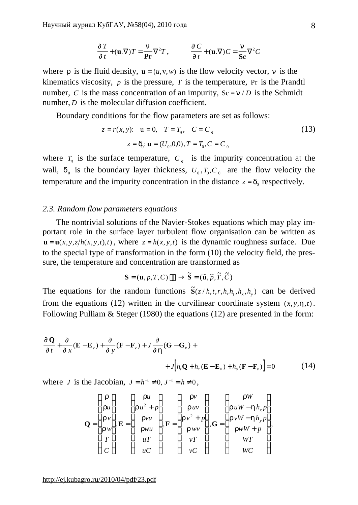$$
\frac{\oint T}{\oint t} + (\mathbf{u}.\nabla)T = \frac{n}{\mathbf{Pr}} \nabla^2 T, \qquad \frac{\oint C}{\oint t} + (\mathbf{u}.\nabla)C = \frac{n}{\mathbf{Sc}} \nabla^2 C
$$

where *r* is the fluid density,  $\mathbf{u} = (u, v, w)$  is the flow velocity vector, *n* is the kinematics viscosity,  $p$  is the pressure,  $T$  is the temperature, Pr is the Prandtl number, *C* is the mass concentration of an impurity,  $Sc = n/D$  is the Schmidt number, *D* is the molecular diffusion coefficient.

Boundary conditions for the flow parameters are set as follows:

$$
z = r(x, y): \quad u = 0, \quad T = T_g, \quad C = C_g
$$
  

$$
z = d_0: \mathbf{u} = (U_0, 0, 0), T = T_0, C = C_0
$$
 (13)

where  $T_g$  is the surface temperature,  $C_g$  is the impurity concentration at the wall,  $d_0$  is the boundary layer thickness,  $U_0$ ,  $T_0$ ,  $C_0$  are the flow velocity the temperature and the impurity concentration in the distance  $z = d_0$  respectively.

### *2.3. Random flow parameters equations*

The nontrivial solutions of the Navier-Stokes equations which may play important role in the surface layer turbulent flow organisation can be written as  $\mathbf{u} = \mathbf{u}(x, y, z/h(x, y, t), t)$ , where  $z = h(x, y, t)$  is the dynamic roughness surface. Due to the special type of transformation in the form (10) the velocity field, the pressure, the temperature and concentration are transformed as

$$
\mathbf{S} = (\mathbf{u}, p, T, C) \longrightarrow \widetilde{\mathbf{S}} = (\widetilde{\mathbf{u}}, \widetilde{p}, \widetilde{T}, \widetilde{C})
$$

The equations for the random functions  $\tilde{S}(z/h,t,r,h,h_t,h_x,h_y)$  can be derived from the equations (12) written in the curvilinear coordinate system  $(x, y, h, t)$ . Following Pulliam & Steger (1980) the equations (12) are presented in the form:

$$
\frac{\mathcal{J}\mathbf{Q}}{\mathcal{J}t} + \frac{\mathcal{J}}{\mathcal{J}x}(\mathbf{E} - \mathbf{E}_{\nu}) + \frac{\mathcal{J}}{\mathcal{J}y}(\mathbf{F} - \mathbf{F}_{\nu}) + J\frac{\mathcal{J}}{\mathcal{J}h}(\mathbf{G} - \mathbf{G}_{\nu}) + J\left[h_{\nu}\mathbf{Q} + h_{x}(\mathbf{E} - \mathbf{E}_{\nu}) + h_{y}(\mathbf{F} - \mathbf{F}_{\nu})\right] = 0
$$
\n(14)

where *J* is the Jacobian,  $J = h^{-1} \neq 0, J^{-1} = h \neq 0$ ,

$$
\mathbf{Q} = \begin{pmatrix} r \\ ru \\ rv \\ rv \\ rv \\ T \\ C \end{pmatrix}, \mathbf{E} = \begin{pmatrix} ru \\ ru^2 + p \\ rvu \\ rwu \\ uv \\ uT \\ uC \end{pmatrix}, \mathbf{F} = \begin{pmatrix} rv \\ ruv \\ rv^2 + p \\ rvv^2 + p \\ rvv \\ rv \end{pmatrix}, \mathbf{G} = \begin{pmatrix} rw \\ ruW - hh_xp \\ rvv - hh_yp \\ rwW + p \\ rwW + p \\ WT \\ WT \\ wc \end{pmatrix},
$$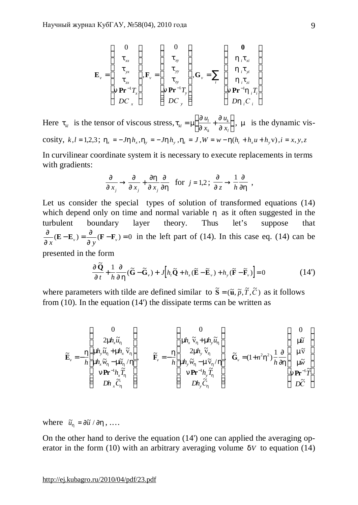$$
\mathbf{E}_{\nu} = \begin{pmatrix} 0 \\ t_{xx} \\ t_{yx} \\ t_{zx} \\ n\mathbf{Pr}^{-1}T_{x} \\ DC_{x} \end{pmatrix}, \mathbf{F}_{\nu} = \begin{pmatrix} 0 \\ t_{xy} \\ t_{yy} \\ t_{zy} \\ n\mathbf{Pr}^{-1}T_{y} \\ DC_{y} \end{pmatrix}, \mathbf{G}_{\nu} = \sum_{i} \begin{pmatrix} 0 \\ h_{i}t_{xi} \\ h_{i}t_{yi} \\ h_{i}t_{zi} \\ n\mathbf{Pr}^{-1}h_{i}T_{i} \\ Dh_{i}C_{i} \end{pmatrix}
$$

Here  $t_k$  is the tensor of viscous stress,  $t_k = m \frac{1}{a}$ *¶ ¶*  $\mathbf{M}$  –  $\mathbf{M}$   $\mathbf{y}_{x_k}$  –  $\mathbf{y}$ *l k k l u x u x*  $=$  m  $\frac{\pi}{4}$  + ſ l I  $\lambda$  $\overline{1}$  , *m* is the dynamic viscosity,  $k, l = 1,2,3$ ;  $h_x = -Jhh_x, h_y = -Jhh_y, h_z = J, W = w - h(h_x + h_y u + h_y v), i = x, y, z$ 

In curvilinear coordinate system it is necessary to execute replacements in terms with gradients:

$$
\frac{\P}{\P{x}_j} \to \frac{\P}{\P{x}_j} + \frac{\P{h}}{\P{x}_j} \frac{\P}{\P{h}} \quad \text{for } j = 1, 2 \; ; \; \frac{\P}{\P{z}} \to \frac{1}{h} \frac{\P}{\P{h}} \; ,
$$

Let us consider the special types of solution of transformed equations  $(14)$ which depend only on time and normal variable *h* as it often suggested in the turbulent boundary layer theory. Thus let's suppose that  $\frac{1}{x}$  (**E** – **E**<sub>v</sub>) =  $\frac{1}{\sqrt{y}}$  (**F** – **F**<sub>v</sub>) = 0  $E - E_{v} = \frac{\pi}{\pi} (F - F)$ *¶ ¶ ¶*  $\frac{\mathcal{J}}{g}(E-E_y) = \frac{\mathcal{J}}{g}(F-F_y) = 0$  in the left part of (14). In this case eq. (14) can be

presented in the form

$$
\frac{\P \widetilde{\mathbf{Q}}}{\P t} + \frac{1}{h} \frac{\P}{\P h} (\widetilde{\mathbf{G}} - \widetilde{\mathbf{G}}_{\nu}) + J \Big[ h_{\nu} \widetilde{\mathbf{Q}} + h_{x} (\widetilde{\mathbf{E}} - \widetilde{\mathbf{E}}_{\nu}) + h_{y} (\widetilde{\mathbf{F}} - \widetilde{\mathbf{F}}_{\nu}) \Big] = 0 \tag{14'}
$$

where parameters with tilde are defined similar to  $\tilde{S} = (\tilde{u}, \tilde{p}, \tilde{T}, \tilde{C})$  as it follows from (10). In the equation (14') the dissipate terms can be written as

$$
\widetilde{\mathbf{E}}_{\nu} = -\frac{h}{h} \begin{pmatrix} 0 \\ 2m h_{x} \widetilde{u}_{h} \\ m h_{y} \widetilde{u}_{h} + m h_{x} \widetilde{v}_{h} \\ m h_{x} \widetilde{w}_{h} - m \widetilde{u}_{h} / h \\ n \mathbf{Pr}^{-1} h_{x} \widetilde{T}_{h} \\ D h_{x} \widetilde{C}_{h} \end{pmatrix}, \qquad \widetilde{\mathbf{F}}_{\nu} = -\frac{h}{h} \begin{pmatrix} 0 \\ m h_{x} \widetilde{v}_{h} + m h_{y} \widetilde{u}_{h} \\ 2m h_{y} \widetilde{v}_{h} \\ m h_{y} \widetilde{w}_{h} - m \widetilde{v}_{h} / h \\ n \mathbf{Pr}^{-1} h_{y} \widetilde{T}_{h} \\ D h_{y} \widetilde{C}_{h} \end{pmatrix}, \qquad \widetilde{\mathbf{G}}_{\nu} = (1 + n^{2} h^{2}) \frac{1}{h} \frac{\mathbf{I}}{\mathbf{I} \mathbf{I}} \begin{pmatrix} 0 \\ m \widetilde{u} \\ m \widetilde{v} \\ m \widetilde{v} \\ n \mathbf{Pr}^{-1} \widetilde{T} \\ D \widetilde{C} \end{pmatrix}
$$

where  $\tilde{u}_h = \int \tilde{u} \, d\mu$ , ...

On the other hand to derive the equation (14') one can applied the averaging operator in the form (10) with an arbitrary averaging volume *dV* to equation (14)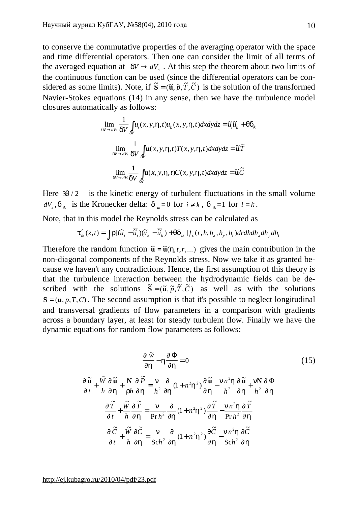to conserve the commutative properties of the averaging operator with the space and time differential operators. Then one can consider the limit of all terms of the averaged equation at  $dV \rightarrow dV_s$ . At this step the theorem about two limits of the continuous function can be used (since the differential operators can be considered as some limits). Note, if  $\tilde{\bf{S}} = (\tilde{\bf{u}}, \tilde{p}, \tilde{T}, \tilde{C})$  is the solution of the transformed Navier-Stokes equations (14) in any sense, then we have the turbulence model closures automatically as follows:

$$
\lim_{dV \to dV_s} \frac{1}{dV} \int_{dV} u_i(x, y, h, t) u_k(x, y, h, t) dx dy dz = \tilde{u}_i \tilde{u}_k + q d_k
$$
  

$$
\lim_{dV \to dV_s} \frac{1}{dV} \int_{dV} \mathbf{u}(x, y, h, t) T(x, y, h, t) dx dy dz = \tilde{\mathbf{u}} \tilde{T}
$$
  

$$
\lim_{dV \to dV_s} \frac{1}{dV} \int_{dV} \mathbf{u}(x, y, h, t) C(x, y, h, t) dx dy dz = \tilde{\mathbf{u}} \tilde{C}
$$

Here  $3q/2$  is the kinetic energy of turbulent fluctuations in the small volume  $dV_s$ ,  $d_{ik}$  is the Kronecker delta:  $d_{ik}=0$  for  $i \neq k$ ,  $d_{ik}=1$  for  $i = k$ .

Note, that in this model the Reynolds stress can be calculated as

$$
\boldsymbol{t}'_{ik}(z,t)=\int \boldsymbol{r}[(\widetilde{u}_i-\overline{\widetilde{u}}_i)(\widetilde{u}_k-\overline{\widetilde{u}}_k)+qd_{ik}]f_s(r,h,h_x,h_y,h_t)drdhdh_xdh_ydh_t
$$

Therefore the random function  $\tilde{\mathbf{u}} = \tilde{\mathbf{u}}(h, t, r, \dots)$  gives the main contribution in the non-diagonal components of the Reynolds stress. Now we take it as granted because we haven't any contradictions. Hence, the first assumption of this theory is that the turbulence interaction between the hydrodynamic fields can be described with the solutions  $\tilde{\mathbf{S}} = (\tilde{\mathbf{u}}, \tilde{p}, \tilde{T}, \tilde{C})$  as well as with the solutions  $S = (u, p, T, C)$ . The second assumption is that it's possible to neglect longitudinal and transversal gradients of flow parameters in a comparison with gradients across a boundary layer, at least for steady turbulent flow. Finally we have the dynamic equations for random flow parameters as follows:

$$
\frac{\Psi}{\Psi h} - h \frac{\Psi}{\Psi h} = 0
$$
\n
$$
\frac{\Psi}{\Psi h} + \frac{\widetilde{W}}{h} \frac{\Psi}{\Psi h} + \frac{N}{rh} \frac{\Psi}{\Psi h} = \frac{n}{h^2} \frac{\partial}{\partial h} (1 + n^2 h^2) \frac{\Psi}{\Psi h} - \frac{n n^2 h}{h^2} \frac{\Psi}{\Psi h} + \frac{n N}{h^2} \frac{\Psi}{\Psi h}
$$
\n
$$
\frac{\Psi}{\Psi h} + \frac{\widetilde{W}}{h} \frac{\Psi}{\Psi h} = \frac{n}{\Pr h^2} \frac{\partial}{\partial h} (1 + n^2 h^2) \frac{\Psi}{\Psi h} - \frac{n n^2 h}{\Pr h^2} \frac{\Psi}{\Psi h}
$$
\n
$$
\frac{\Psi}{\Psi h} + \frac{\widetilde{W}}{h} \frac{\Psi}{\Psi h} = \frac{n}{\text{Sch}^2} \frac{\partial}{\partial h} (1 + n^2 h^2) \frac{\Psi}{\Psi h} - \frac{n n^2 h}{\text{Sch}^2} \frac{\Psi}{\Psi h}
$$
\n(15)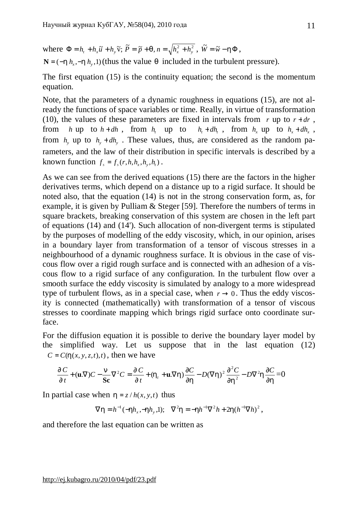where  $\Phi = h_t + h_x \tilde{u} + h_y \tilde{v}$ ;  $\tilde{P} = \tilde{p} + q$ ,  $n = \sqrt{h_x^2 + h_y^2}$ ,  $\tilde{W} = \tilde{w} - h\Phi$ ,

 $N = (-h h_{x} - h h_{y}$ , 1) (thus the value *q* included in the turbulent pressure).

The first equation (15) is the continuity equation; the second is the momentum equation.

Note, that the parameters of a dynamic roughness in equations (15), are not already the functions of space variables or time. Really, in virtue of transformation (10), the values of these parameters are fixed in intervals from  $r \text{ up to } r + dr$ , from *h* up to  $h + dh$ , from  $h$ , up to , from  $h_x$  up to  $h_x + dh_x$ , from  $h_y$  up to  $h_y + dh_y$ . These values, thus, are considered as the random parameters, and the law of their distribution in specific intervals is described by a known function  $f_s = f_s(r, h, h_x, h_y, h_t)$ .

As we can see from the derived equations (15) there are the factors in the higher derivatives terms, which depend on a distance up to a rigid surface. It should be noted also, that the equation (14) is not in the strong conservation form, as, for example, it is given by Pulliam & Steger [59]. Therefore the numbers of terms in square brackets, breaking conservation of this system are chosen in the left part of equations (14) and (14'). Such allocation of non-divergent terms is stipulated by the purposes of modelling of the eddy viscosity, which, in our opinion, arises in a boundary layer from transformation of a tensor of viscous stresses in a neighbourhood of a dynamic roughness surface. It is obvious in the case of viscous flow over a rigid rough surface and is connected with an adhesion of a viscous flow to a rigid surface of any configuration. In the turbulent flow over a smooth surface the eddy viscosity is simulated by analogy to a more widespread type of turbulent flows, as in a special case, when  $r \to 0$ . Thus the eddy viscosity is connected (mathematically) with transformation of a tensor of viscous stresses to coordinate mapping which brings rigid surface onto coordinate surface.

For the diffusion equation it is possible to derive the boundary layer model by the simplified way. Let us suppose that in the last equation (12)  $C = C(h(x, y, z, t), t)$ , then we have

$$
\frac{\mathcal{J}'C}{\mathcal{J}'t} + (\mathbf{u}.\nabla)C - \frac{\mathbf{n}}{\mathbf{Sc}}\nabla^2 C = \frac{\mathcal{J}'C}{\mathcal{J}'t} + (h_t + \mathbf{u}.\nabla h)\frac{\partial C}{\partial h} - D(\nabla h)^2 \frac{\partial^2 C}{\partial h^2} - D\nabla^2 h \frac{\partial C}{\partial h} = 0
$$

In partial case when  $h = z / h(x, y, t)$  thus

$$
\nabla h = h^{-1}(-hh_x, -hh_y, 1);
$$
  $\nabla^2 h = -hh^{-1}\nabla^2 h + 2h(h^{-1}\nabla h)^2,$ 

and therefore the last equation can be written as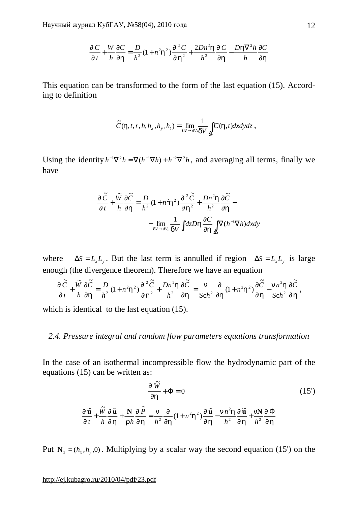$$
\frac{\P C}{\P t} + \frac{W}{h} \frac{\P C}{\P h} = \frac{D}{h^2} (1 + n^2 h^2) \frac{\P^2 C}{\P h^2} + \frac{2Dn^2 h}{h^2} \frac{\P C}{\P h} - \frac{D h \nabla^2 h}{h} \frac{\partial C}{\partial h}
$$

This equation can be transformed to the form of the last equation (15). According to definition

$$
\widetilde{C}(h,t,r,h,h_x,h_y,h_t)=\lim_{dV\to dV_s}\frac{1}{dV}\int_{dV}C(h,t)dxdydz\;,
$$

Using the identity  $h^{-1}\nabla^2 h = \nabla (h^{-1}\nabla h) + h^{-2}\nabla^2 h$ , and averaging all terms, finally we have

$$
\frac{\oint \widetilde{C}}{\oint t} + \frac{\widetilde{W}}{h} \frac{\oint \widetilde{C}}{\oint h} = \frac{D}{h^2} (1 + n^2 h^2) \frac{\oint^2 \widetilde{C}}{\oint h^2} + \frac{Dn^2 h}{h^2} \frac{\oint \widetilde{C}}{\oint h} - \frac{1}{dV - dV_s} \frac{1}{dV} \int dz Dh \frac{\partial C}{\partial h} \int_{\Delta S} \nabla (h^{-1} \nabla h) dx dy
$$

where  $\Delta S = L_x L_y$ . But the last term is annulled if region  $\Delta S = L_x L_y$  is large enough (the divergence theorem). Therefore we have an equation

$$
\frac{\P\widetilde{C}}{\P t} + \frac{\widetilde{W}}{h} \frac{\P\widetilde{C}}{\P h} = \frac{D}{h^2} (1 + n^2 h^2) \frac{\P^2 \widetilde{C}}{\P h^2} + \frac{Dn^2 h}{h^2} \frac{\P \widetilde{C}}{\P h} = \frac{n}{\text{Sch}^2} \frac{\partial}{\partial h} (1 + n^2 h^2) \frac{\P \widetilde{C}}{\P h} - \frac{n n^2 h}{\text{Sch}^2} \frac{\P \widetilde{C}}{\P h},
$$

which is identical to the last equation  $(15)$ .

# *2.4. Pressure integral and random flow parameters equations transformation*

In the case of an isothermal incompressible flow the hydrodynamic part of the equations (15) can be written as:

$$
\frac{\sqrt{\pi}}{\sqrt{\pi}} + \Phi = 0 \tag{15'}
$$

$$
\frac{\int \widetilde{\mathbf{u}}}{\int t} + \frac{\widetilde{W}}{h} \frac{\int \widetilde{\mathbf{u}}}{\int h} + \frac{\mathbf{N}}{r h} \frac{\int \widetilde{P}}{\int h} = \frac{n}{h^2} \frac{\partial}{\partial h} (1 + n^2 h^2) \frac{\int \widetilde{\mathbf{u}}}{\int h} - \frac{n n^2 h}{h^2} \frac{\int \widetilde{\mathbf{u}}}{\int h} + \frac{n \mathbf{N}}{h^2} \frac{\int \Phi}{\int h}
$$

Put  $N_1 = (h_x, h_y, 0)$ . Multiplying by a scalar way the second equation (15') on the

### <http://ej.kubagro.ru/2010/04/pdf/23.pdf>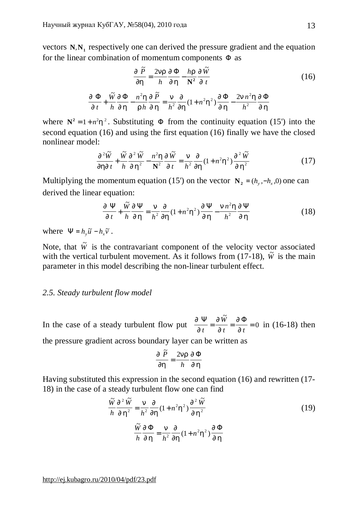vectors  $N$ ,  $N_1$  respectively one can derived the pressure gradient and the equation for the linear combination of momentum components  $\Phi$  as

$$
\frac{\oint \tilde{P}}{\oint h} = \frac{2nr}{h} \frac{\oint \Phi}{\oint h} - \frac{hr}{N^2} \frac{\oint \tilde{W}}{\oint t}
$$
\n(16)

$$
\frac{\oint \Phi}{\oint t} + \frac{\tilde{W}}{h} \frac{\oint \Phi}{\oint h} - \frac{n^2 h}{r h} \frac{\oint \tilde{P}}{\oint h} = \frac{n}{h^2} \frac{\oint}{\oint h} (1 + n^2 h^2) \frac{\oint \Phi}{\oint h} - \frac{2n n^2 h}{h^2} \frac{\oint \Phi}{\oint h}
$$

where  $N^2 = 1 + n^2 h^2$ . Substituting  $\Phi$  from the continuity equation (15') into the second equation (16) and using the first equation (16) finally we have the closed nonlinear model:

$$
\frac{\mathcal{J}^2 \widetilde{W}}{\mathcal{J} h \mathcal{J} t} + \frac{\widetilde{W}}{h} \frac{\mathcal{J}^2 \widetilde{W}}{\mathcal{J} h^2} - \frac{n^2 h}{N^2} \frac{\mathcal{J} \widetilde{W}}{\mathcal{J} t} = \frac{n}{h^2} \frac{\mathcal{J}}{\mathcal{J} h} (1 + n^2 h^2) \frac{\mathcal{J}^2 \widetilde{W}}{\mathcal{J} h^2}
$$
(17)

Multiplying the momentum equation (15') on the vector  $N_2 = (h_y, -h_x, 0)$  one can derived the linear equation:

$$
\frac{\eta \Psi}{\eta t} + \frac{\tilde{W}}{h} \frac{\eta \Psi}{\eta h} = \frac{n}{h^2} \frac{\eta}{\eta h} (1 + n^2 h^2) \frac{\eta \Psi}{\eta h} - \frac{n n^2 h}{h^2} \frac{\eta \Psi}{\eta h}
$$
(18)

where  $\Psi = h_y \widetilde{u} - h_x \widetilde{v}$ .

Note, that  $\tilde{W}$  is the contravariant component of the velocity vector associated with the vertical turbulent movement. As it follows from  $(17-18)$ ,  $\tilde{W}$  is the main parameter in this model describing the non-linear turbulent effect.

### *2.5. Steady turbulent flow model*

In the case of a steady turbulent flow put *¶ ¶ ¶ ¶ ¶ ¶* Ψ ¶Ŵ ¶Φ *t W t t*  $=\frac{\pi r}{\pi}=\frac{\pi}{\pi}=$ ~<br>~ 0 in (16-18) then the pressure gradient across boundary layer can be written as

$$
\frac{\oint \widetilde{P}}{\oint h} = \frac{2nr}{h} \frac{\oint \Phi}{\oint h}
$$

Having substituted this expression in the second equation (16) and rewritten (17- 18) in the case of a steady turbulent flow one can find

$$
\frac{\tilde{W}}{h} \frac{\int \tilde{W}}{\int h^2} = \frac{n}{h^2} \frac{\int \int \left(1 + n^2 h^2\right) \frac{\int \tilde{W}}{\int h^2}}{\int \left(1 + n^2 h^2\right) \frac{\int \tilde{W}}{\int h^2}} \tag{19}
$$
\n
$$
\frac{\tilde{W}}{h} \frac{\int \int \Phi}{\int h^2} = \frac{n}{h^2} \frac{\int \int \Phi}{\int h^2} (1 + n^2 h^2) \frac{\int \Phi}{\int h}
$$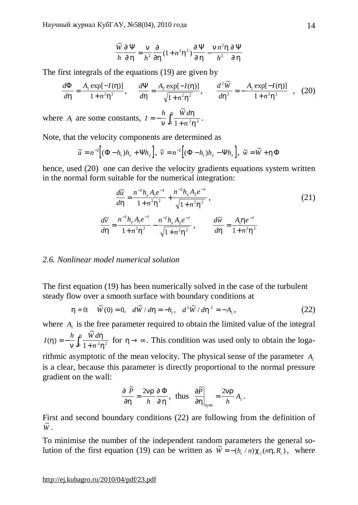$$
\frac{\widetilde{W}}{h} \frac{\mathcal{J}\Psi}{\mathcal{J}h} = \frac{n}{h^2} \frac{\mathcal{J}}{\mathcal{J}h} (1 + n^2 h^2) \frac{\mathcal{J}\Psi}{\mathcal{J}h} - \frac{n n^2 h}{h^2} \frac{\mathcal{J}\Psi}{\mathcal{J}h}
$$

The first integrals of the equations (19) are given by

$$
\frac{d\Phi}{dh} = \frac{A_1 \exp[-I(h)]}{1 + n^2 h^2}, \qquad \frac{d\Psi}{dh} = \frac{A_2 \exp[-I(h)]}{\sqrt{1 + n^2 h^2}}, \qquad \frac{d^2 \tilde{W}}{dh^2} = -\frac{A_1 \exp[-I(h)]}{1 + n^2 h^2} \quad , \quad (20)
$$

where  $A_i$  are some constants,  $I = -\frac{h}{n} \int_0^h \frac{\tilde{W} d}{1 + n^2}$ *n* = −  $\frac{n}{n}$  $\int_0^n \frac{v}{1+v^2}$ *h h h*  $\tilde{W}$  $\int_0^{\frac{\pi}{1}} \frac{w \, \mathrm{d} n}{1 + n^2 h^2}$ .

Note, that the velocity components are determined as

$$
\widetilde{u} = n^{-2} \Big[ (\Phi - h_t) h_x + \Psi h_y \Big], \ \widetilde{v} = n^{-2} \Big[ (\Phi - h_t) h_y - \Psi h_x \Big], \ \widetilde{w} = \widetilde{W} + h \Phi
$$

hence, used (20) one can derive the velocity gradients equations system written in the normal form suitable for the numerical integration:

$$
\frac{d\tilde{u}}{dh} = \frac{n^{-2}h_x A_1 e^{-I}}{1 + n^2 h^2} + \frac{n^{-2}h_y A_2 e^{-I}}{\sqrt{1 + n^2 h^2}},
$$
\n
$$
\frac{d\tilde{v}}{dh} = \frac{n^{-2}h_y A_1 e^{-I}}{1 + n^2 h^2} - \frac{n^{-2}h_x A_2 e^{-I}}{\sqrt{1 + n^2 h^2}},
$$
\n
$$
\frac{d\tilde{w}}{dh} = \frac{A_1 h e^{-I}}{1 + n^2 h^2}
$$
\n(21)

## *2.6. Nonlinear model numerical solution*

The first equation (19) has been numerically solved in the case of the turbulent steady flow over a smooth surface with boundary conditions at

$$
h = 0: \quad \tilde{W}(0) = 0, \quad d\tilde{W} / dh = -h_t, \quad d^2 \tilde{W} / dh^2 = -A_1,
$$
\n(22)

where  $A_1$  is the free parameter required to obtain the limited value of the integral *I h W d n*  $(h)$ ~<br>~ *h n h h*  $=-\frac{h}{h}$  $\int_0^{\pi} \frac{w \, du}{1 + n^2 h^2}$  for  $h \to \infty$ . This condition was used only to obtain the logarithmic asymptotic of the mean velocity. The physical sense of the parameter  $A_1$ 

is a clear, because this parameter is directly proportional to the normal pressure gradient on the wall:

$$
\frac{\oint \widetilde{P}}{\oint h} = \frac{2nr}{h} \frac{\oint \Phi}{\oint h}, \text{ thus } \frac{\oint \widetilde{P}}{\oint h} \bigg|_{h=0} = \frac{2nr}{h} A_1.
$$

First and second boundary conditions (22) are following from the definition of  $\tilde{W}$  .

To minimise the number of the independent random parameters the general solution of the first equation (19) can be written as  $\tilde{W} = -(h_t/n) c_1(nh, R_t)$ , where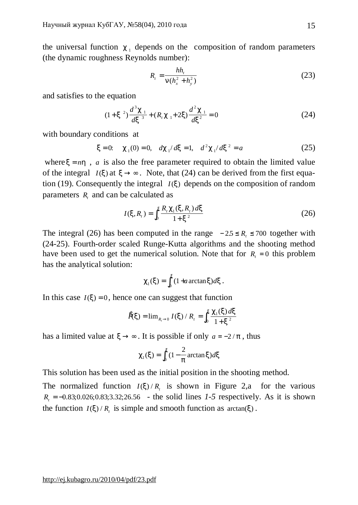the universal function  $c_1$  depends on the composition of random parameters (the dynamic roughness Reynolds number):

$$
R_{t} = \frac{hh_{t}}{n(h_{x}^{2} + h_{y}^{2})}
$$
 (23)

and satisfies to the equation

$$
(1+x2)\frac{d3c1}{dx3} + (Rtc1+2x)\frac{d2c1}{dx2} = 0
$$
 (24)

with boundary conditions at

$$
x = 0
$$
:  $c_1(0) = 0$ ,  $dc_1/dx = 1$ ,  $d^2 c_1/dx^2 = a$  (25)

where  $x = nh$ , *a* is also the free parameter required to obtain the limited value of the integral  $I(x)$  at  $x \rightarrow \infty$ . Note, that (24) can be derived from the first equation (19). Consequently the integral  $I(x)$  depends on the composition of random parameters  $R_t$  and can be calculated as

$$
I(x, R_t) = \int_0^x \frac{R_t c_1(x, R_t) dx}{1 + x^2}
$$
 (26)

The integral (26) has been computed in the range  $-2.5 \le R_{\textit{i}} \le 700$  together with (24-25). Fourth-order scaled Runge-Kutta algorithms and the shooting method have been used to get the numerical solution. Note that for  $R<sub>t</sub> = 0$  this problem has the analytical solution:

$$
c_1(x) = \int_0^x (1 + a \arctan x) dx.
$$

In this case  $I(x) = 0$ , hence one can suggest that function

$$
\hat{P}(x) = \lim_{R_t \to 0} I(x) / R_t = \int_0^x \frac{C_1(x) dx}{1 + x^2}
$$

has a limited value at  $x \rightarrow \infty$ . It is possible if only  $a = -2/p$ , thus

$$
c_1(x) = \int_0^x (1 - \frac{2}{p} \arctan x) dx
$$

This solution has been used as the initial position in the shooting method.

The normalized function  $I(x)/R<sub>t</sub>$  is shown in Figure 2,a for the various  $R_t = -0.83; 0.026; 0.83; 3.32; 26.56$  - the solid lines *1-5* respectively. As it is shown the function  $I(x) / R_t$  is simple and smooth function as  $arctan(x)$ .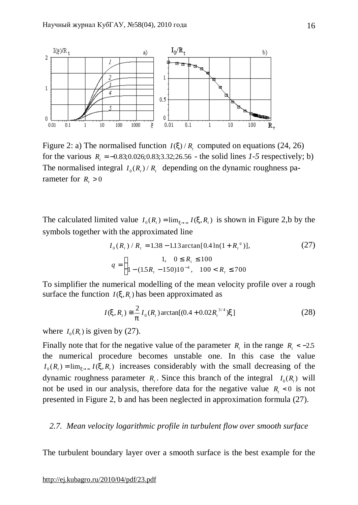

Figure 2: a) The normalised function  $I(x)/R$ , computed on equations (24, 26) for the various  $R_t = -0.83;0.026;0.83;3.32;26.56$  - the solid lines *1*-5 respectively; b) The normalised integral  $I_0(R_t)/R_t$  depending on the dynamic roughness parameter for  $R_i > 0$ 

The calculated limited value  $I_0(R_t) = \lim_{x \to \infty} I(x, R_t)$  is shown in Figure 2,b by the symbols together with the approximated line

$$
I_0(R_t) / R_t = 1.38 - 1.13 \arctan[0.4 \ln(1 + R_t^a)],
$$
\n
$$
q = \begin{cases} 1, & 0 \le R_t \le 100 \\ 1 - (1.5R_t - 150)10^{-4}, & 100 < R_t \le 700 \end{cases} \tag{27}
$$

To simplifier the numerical modelling of the mean velocity profile over a rough surface the function  $I(x, R)$  has been approximated as

$$
I(x, R_t) \approx \frac{2}{p} I_0(R_t) \arctan[(0.4 + 0.02R_t^{3/4})x]
$$
 (28)

where  $I_0(R_t)$  is given by (27).

Finally note that for the negative value of the parameter  $R_t$  in the range  $R_t < -2.5$ . the numerical procedure becomes unstable one. In this case the value  $I_0(R_t) = \lim_{x \to \infty} I(x, R_t)$  increases considerably with the small decreasing of the dynamic roughness parameter  $R_t$ . Since this branch of the integral  $I_0(R_t)$  will not be used in our analysis, therefore data for the negative value  $R<sub>t</sub> < 0$  is not presented in Figure 2, b and has been neglected in approximation formula (27).

### *2.7. Mean velocity logarithmic profile in turbulent flow over smooth surface*

The turbulent boundary layer over a smooth surface is the best example for the

#### <http://ej.kubagro.ru/2010/04/pdf/23.pdf>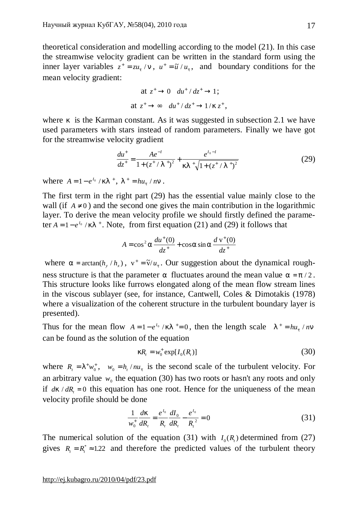theoretical consideration and modelling according to the model (21). In this case the streamwise velocity gradient can be written in the standard form using the inner layer variables  $z^+ = zu_t/n$ ,  $u^+ = \tilde{u}/u_t$ , and boundary conditions for the mean velocity gradient:

$$
\begin{aligned}\n\text{at } z^+ \to 0 \quad du^+ / dz^+ \to 1; \\
\text{at } z^+ \to \infty \quad du^+ / dz^+ \to 1 / k z^+, \n\end{aligned}
$$

where *k* is the Karman constant. As it was suggested in subsection 2.1 we have used parameters with stars instead of random parameters. Finally we have got for the streamwise velocity gradient

$$
\frac{du^{+}}{dz^{+}} = \frac{Ae^{-I}}{1 + (z^{+}/I^{+})^{2}} + \frac{e^{I_{0}-I}}{kl^{+}\sqrt{1 + (z^{+}/I^{+})^{2}}}
$$
(29)

where  $A = 1 - e^{I_0} / kI^+$ ,  $I^+ = hu_t / nn$ .

The first term in the right part (29) has the essential value mainly close to the wall (if  $A \neq 0$ ) and the second one gives the main contribution in the logarithmic layer. To derive the mean velocity profile we should firstly defined the parameter  $A = 1 - e^{I_0} / kI^{\dagger}$ . Note, from first equation (21) and (29) it follows that

$$
A = \cos^2 a \frac{du^+(0)}{dz^+} + \cos a \sin a \frac{dv^+(0)}{dz^+}
$$

where  $a = \arctan(h_y/h_x)$ ,  $v^+ = \tilde{v}/u_t$ . Our suggestion about the dynamical roughness structure is that the parameter *a* fluctuates around the mean value  $a = p/2$ . This structure looks like furrows elongated along of the mean flow stream lines in the viscous sublayer (see, for instance, Cantwell, Coles & Dimotakis (1978) where a visualization of the coherent structure in the turbulent boundary layer is presented).

Thus for the mean flow  $A = 1 - e^{I_0} / kI^* = 0$ , then the length scale  $I^+ = h u_t / nI$ can be found as the solution of the equation

$$
kR_t = w_0^+ \exp[I_0(R_t)] \tag{30}
$$

where  $R_t = l^+ w_0^+$ ,  $w_0 = h_t / n u_t$  is the second scale of the turbulent velocity. For an arbitrary value  $w_0$  the equation (30) has two roots or hasn't any roots and only if  $dk / dR_t = 0$  this equation has one root. Hence for the uniqueness of the mean velocity profile should be done

$$
\frac{1}{w_0^+} \frac{dk}{dR_t} = \frac{e^{I_0}}{R_t} \frac{dI_0}{dR_t} - \frac{e^{I_0}}{R_t^2} = 0
$$
\n(31)

The numerical solution of the equation (31) with  $I_0(R)$  determined from (27) gives  $R_{i} = R_{i}^{*} \approx 1.22$  and therefore the predicted values of the turbulent theory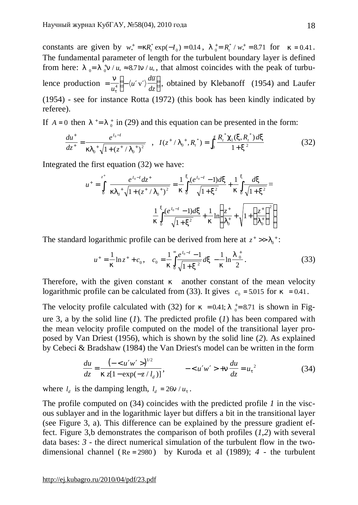constants are given by  $w_*^+ = kR_t^* \exp(-I)$  $k_{*}^{+} = kR_{t}^{*}$  exp( $-I_0$ ) = 0.14,  $I_0^{+} = R_{t}^{*} / w_{*}^{+} = 8.71$  $/w_*^+ = 8.71$  for  $k = 0.41$ . The fundamental parameter of length for the turbulent boundary layer is defined from here:  $l_0 = l_0^+ n / u_* \approx 8.7 \ln / u_*$ , that almost coincides with the peak of turbulence production  $=\frac{n}{u_*^4} \left(-\langle u'v'\rangle \frac{d\overline{u}}{dz}\right)$  $\overline{\phantom{a}}$ *n*  $u_t^2$ *u*  $\frac{d}{dt}\left(-\langle u'v'\rangle\frac{d\overline{u}}{dz}\right)$ , obtained by Klebanoff (1954) and Laufer (1954) - see for instance Rotta (1972) (this book has been kindly indicated by referee).

If  $A = 0$  then  $I^+= I^+_{0}$  in (29) and this equation can be presented in the form:

$$
\frac{du^+}{dz^+} = \frac{e^{I_0 - I}}{kI_0^+ \sqrt{1 + (z^+ / I_0^+)^2}} \quad , \quad I(z^+ / I_0^+, R_t^*) = \int_0^x \frac{R_t^* c_1(x, R_t^*) dx}{1 + x^2} \tag{32}
$$

Integrated the first equation (32) we have:

$$
u^{+} = \int_{0}^{z^{+}} \frac{e^{I_{0}-I}dz^{+}}{kI_{0}^{+}\sqrt{1+(z^{+}/I_{0}^{+})^{2}}} = \frac{1}{k}\int_{0}^{x} \frac{(e^{I_{0}-I}-1)dx}{\sqrt{1+x^{2}}} + \frac{1}{k}\int_{0}^{x} \frac{dx}{\sqrt{1+x^{2}}} = \frac{1}{k}\int_{0}^{x} \frac{(e^{I_{0}-I}-1)dx}{\sqrt{1+x^{2}}} + \frac{1}{k}\ln\left(\frac{z^{+}}{I_{0}^{+}} + \sqrt{1+\left(\frac{z^{+}}{I_{0}^{+}}\right)^{2}}\right)
$$

The standard logarithmic profile can be derived from here at  $z^* \gg l_0^+$ :

$$
u^{+} = \frac{1}{k} \ln z^{+} + c_{0}, \quad c_{0} = \frac{1}{k} \int_{0}^{\infty} \frac{e^{I_{0} - I} - 1}{\sqrt{1 + x^{2}}} dx - \frac{1}{k} \ln \frac{I_{0}^{+}}{2}.
$$
 (33)

Therefore, with the given constant *k* another constant of the mean velocity logarithmic profile can be calculated from (33). It gives  $c_0 = 5.015$  for  $k = 0.41$ .

The velocity profile calculated with (32) for  $k = 0.41$ ;  $l_{0}^{\dagger} = 8.71$  is shown in Figure 3, a by the solid line (*1*). The predicted profile (*1*) has been compared with the mean velocity profile computed on the model of the transitional layer proposed by Van Driest (1956), which is shown by the solid line (*2*). As explained by Cebeci & Bradshaw (1984) the Van Driest's model can be written in the form

$$
\frac{du}{dz} = \frac{\left(-\langle u'w'\rangle\right)^{1/2}}{kz[1-\exp(-z/l_d)]}, \qquad -\langle u'w'\rangle + n\frac{du}{dz} = u_t^2 \tag{34}
$$

where  $l_d$  is the damping length,  $l_d = 26n / u_t$ .

The profile computed on (34) coincides with the predicted profile *1* in the viscous sublayer and in the logarithmic layer but differs a bit in the transitional layer (see Figure 3, a). This difference can be explained by the pressure gradient effect. Figure 3,b demonstrates the comparison of both profiles (*1,2*) with several data bases: *3* - the direct numerical simulation of the turbulent flow in the twodimensional channel ( Re = 2980 ) by Kuroda et al (1989); *4* - the turbulent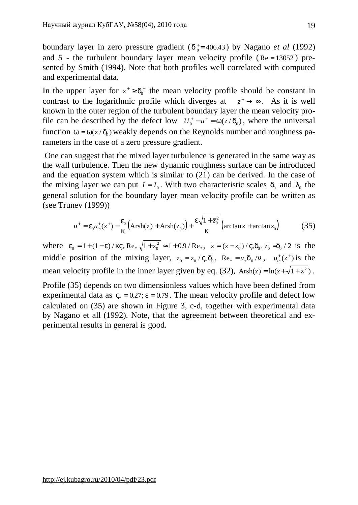boundary layer in zero pressure gradient  $(d_o^+= 406.43)$  by Nagano *et al* (1992) and  $5$  - the turbulent boundary layer mean velocity profile ( $Re = 13052$ ) presented by Smith (1994). Note that both profiles well correlated with computed and experimental data.

In the upper layer for  $z^+ \geq d_0^+$  the mean velocity profile should be constant in contrast to the logarithmic profile which diverges at  $z^+ \rightarrow \infty$ . As it is well known in the outer region of the turbulent boundary layer the mean velocity profile can be described by the defect low  $U_0^+ - u^+ = w(z/d_0)$ , where the universal function  $w = w(z/d_0)$  weakly depends on the Reynolds number and roughness parameters in the case of a zero pressure gradient.

One can suggest that the mixed layer turbulence is generated in the same way as the wall turbulence. Then the new dynamic roughness surface can be introduced and the equation system which is similar to (21) can be derived. In the case of the mixing layer we can put  $I = I_0$ . With two characteristic scales  $d_0$  and  $I_0$  the general solution for the boundary layer mean velocity profile can be written as (see Trunev (1999))

$$
u^+ = e_0 u_{in}^+(z^+) - \frac{e_0}{k} \left( \text{Arsh}(\overline{z}) + \text{Arsh}(\overline{z}_0) \right) + \frac{e \sqrt{1 + \overline{z}_0^2}}{k} \left( \arctan \overline{z} + \arctan \overline{z}_0 \right) \tag{35}
$$

where  $e_0 = 1 + (1 - e) / kV_* \text{Re}_* \sqrt{1 + \bar{z}_0^2} \approx 1 + 0.9 / \text{Re}_*$ ,  $\bar{z} = (z - z_0) / V_* d_0$ ,  $z_0 = d_0 / 2$  is the middle position of the mixing layer,  $\bar{z}_0 = z_0 / V_* d_0$ , Re<sub>\*</sub> =  $u_t d_0 / n$ ,  $u_{in}^+(z^+)$  is the mean velocity profile in the inner layer given by eq. (32),  $Arsh(\overline{z}) = ln(\overline{z} + \sqrt{1+\overline{z}^2})$ .

Profile (35) depends on two dimensionless values which have been defined from experimental data as  $V_* = 0.27$ ;  $e = 0.79$ . The mean velocity profile and defect low calculated on (35) are shown in Figure 3, c-d, together with experimental data by Nagano et all (1992). Note, that the agreement between theoretical and experimental results in general is good.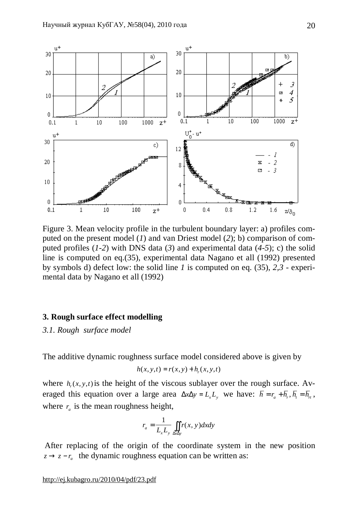

Figure 3. Mean velocity profile in the turbulent boundary layer: a) profiles computed on the present model (*1*) and van Driest model (*2*); b) comparison of computed profiles (*1-2*) with DNS data (*3*) and experimental data (*4-5*); c) the solid line is computed on eq.(35), experimental data Nagano et all (1992) presented by symbols d) defect low: the solid line *1* is computed on eq. (35), *2,3* - experimental data by Nagano et all (1992)

## **3. Rough surface effect modelling**

*3.1. Rough surface model* 

The additive dynamic roughness surface model considered above is given by

$$
h(x, y, t) = r(x, y) + hr(x, y, t)
$$

where  $h_r(x, y, t)$  is the height of the viscous sublayer over the rough surface. Averaged this equation over a large area  $\Delta x \Delta y = L_x L_y$  we have:  $\bar{h} = r_a + \bar{h}_r$ ,  $\bar{h}_i = \bar{h}_r$ , where  $r_a$  is the mean roughness height,

$$
r_a = \frac{1}{L_x L_y} \iint_{\Delta x \Delta y} r(x, y) dx dy
$$

After replacing of the origin of the coordinate system in the new position  $z \rightarrow z - r_a$  the dynamic roughness equation can be written as: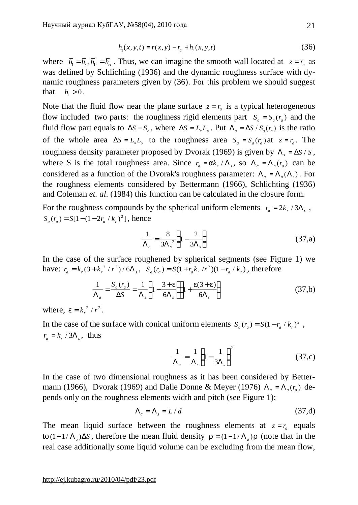$$
h_1(x, y, t) = r(x, y) - r_a + h_r(x, y, t)
$$
\n(36)

where  $\bar{h}_1 = \bar{h}_r$ ,  $\bar{h}_{1t} = \bar{h}_r$ . Thus, we can imagine the smooth wall located at  $z = r_a$  as was defined by Schlichting (1936) and the dynamic roughness surface with dynamic roughness parameters given by (36). For this problem we should suggest that  $h_1 > 0$ .

Note that the fluid flow near the plane surface  $z = r_a$  is a typical heterogeneous flow included two parts: the roughness rigid elements part  $S_a = S_a(r_a)$  and the fluid flow part equals to  $\Delta S - S_a$ , where  $\Delta S = L_x L_y$ . Put  $\Lambda_a = \Delta S / S_a(r_a)$  is the ratio of the whole area  $\Delta S = L_x L_y$  to the roughness area  $S_a = S_a(r_a)$  at  $z = r_a$ . The roughness density parameter proposed by Dvorak (1969) is given by  $\Lambda_s = \Delta S / S$ , where S is the total roughness area. Since  $r_a = ak_r / \Lambda_s$ , so  $\Lambda_a = \Lambda_a(r_a)$  can be considered as a function of the Dvorak's roughness parameter:  $\Lambda_a = \Lambda_a(\Lambda_s)$ . For the roughness elements considered by Bettermann (1966), Schlichting (1936) and Coleman *et. al*. (1984) this function can be calculated in the closure form.

For the roughness compounds by the spherical uniform elements  $r_a = 2k_r / 3\Lambda_s$ ,  $S_a(r_a) = S[1-(1-2r_a/k_r)^2]$ , hence

$$
\frac{1}{\Lambda_a} = \frac{8}{3\Lambda_s^2} \left( 1 - \frac{2}{3\Lambda_s} \right) \tag{37,a}
$$

In the case of the surface roughened by spherical segments (see Figure 1) we have:  $r_a = k_r(3 + k_r^2/r^2)/6\Lambda_s$ ,  $S_a(r_a) = S(1 + r_a k_r/r^2)(1 - r_a / k_r)$ , therefore

$$
\frac{1}{\Lambda_a} = \frac{S_a(r_a)}{\Delta S} = \frac{1}{\Lambda_s} \left( 1 - \frac{3 + e}{6\Lambda_s} \right) \left( 1 + \frac{e(3 + e)}{6\Lambda_s} \right) \tag{37,b}
$$

where,  $e = k_r^2 / r^2$ .

In the case of the surface with conical uniform elements  $S_a(r_a) = S(1 - r_a / k_r)^2$ ,  $r_a = k_r / 3\Lambda_s$ , thus

$$
\frac{1}{\Lambda_a} = \frac{1}{\Lambda_s} \left( 1 - \frac{1}{3\Lambda_s} \right)^2 \tag{37,c}
$$

In the case of two dimensional roughness as it has been considered by Bettermann (1966), Dvorak (1969) and Dalle Donne & Meyer (1976)  $\Lambda_a = \Lambda_a(r_a)$  depends only on the roughness elements width and pitch (see Figure 1):

$$
\Lambda_a = \Lambda_s = L/d \tag{37,d}
$$

The mean liquid surface between the roughness elements at  $z = r_a$  equals to(1−1/ $\Lambda$ <sub>a</sub>) $\Delta S$ , therefore the mean fluid density  $\bar{r} = (1 - 1/\Lambda) / r$  (note that in the real case additionally some liquid volume can be excluding from the mean flow,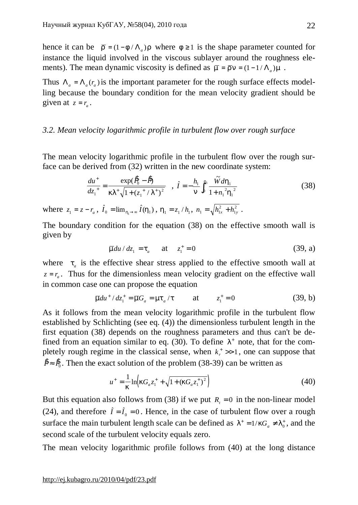hence it can be  $\bar{r} = (1 - f / \Lambda_a)r$  where  $f \ge 1$  is the shape parameter counted for instance the liquid involved in the viscous sublayer around the roughness elements). The mean dynamic viscosity is defined as  $\bar{m} = \bar{r}n = (1 - 1/\Lambda_a)m$ .

Thus  $\Lambda_a = \Lambda_a(r_a)$  is the important parameter for the rough surface effects modelling because the boundary condition for the mean velocity gradient should be given at  $z = r_a$ .

## *3.2. Mean velocity logarithmic profile in turbulent flow over rough surface*

The mean velocity logarithmic profile in the turbulent flow over the rough surface can be derived from (32) written in the new coordinate system:

$$
\frac{du^+}{dz_1^+} = \frac{\exp(\frac{\mathbf{R}}{0} - \mathbf{B})}{kI^+ \sqrt{1 + (z_1^+ / I^+)^2}} \quad , \quad \hat{I} = -\frac{h_1}{n} \int_0^{h_1} \frac{\tilde{W} dh_1}{1 + n_1^2 h_1^2} \tag{38}
$$

where  $z_1 = z - r_a$ ,  $\hat{I}_0 = \lim_{h_1 \to \infty} \hat{I}(h_1)$ ,  $h_1 = z_1 / h_1$ ,  $n_1 = \sqrt{h_{1x}^2 + h_{1y}^2}$ 1  $= \sqrt{h_{1x}^2 + h_{1y}^2}$ .

The boundary condition for the equation (38) on the effective smooth wall is given by

$$
\overline{m}du/dz_1 = t_a
$$
 at  $z_1^+ = 0$  (39, a)

where  $t_a$  is the effective shear stress applied to the effective smooth wall at  $z = r_a$ . Thus for the dimensionless mean velocity gradient on the effective wall in common case one can propose the equation

$$
\overline{m}du^{+}/dz_{1}^{+} = \overline{m}G_{a} = mt_{a}/t
$$
 at  $z_{1}^{+} = 0$  (39, b)

As it follows from the mean velocity logarithmic profile in the turbulent flow established by Schlichting (see eq. (4)) the dimensionless turbulent length in the first equation (38) depends on the roughness parameters and thus can't be defined from an equation similar to eq.  $(30)$ . To define  $1<sup>+</sup>$  note, that for the completely rough regime in the classical sense, when  $k_r^+ \gg 1$ , one can suppose that  $\hat{P} \approx \hat{P}_0$ . Then the exact solution of the problem (38-39) can be written as

$$
u^{+} = \frac{1}{k} \ln \left( k G_a z_1^{+} + \sqrt{1 + (k G_a z_1^{+})^2} \right)
$$
 (40)

But this equation also follows from (38) if we put  $R<sub>t</sub> = 0$  in the non-linear model (24), and therefore  $\hat{I} = \hat{I}_0 = 0$ . Hence, in the case of turbulent flow over a rough surface the main turbulent length scale can be defined as  $I^+ = 1/kG_a \neq I_0^+$ , and the second scale of the turbulent velocity equals zero.

The mean velocity logarithmic profile follows from (40) at the long distance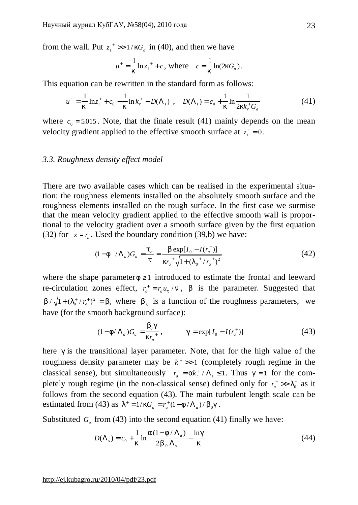from the wall. Put  $z_1^* \gg 1/kG_a$  in (40), and then we have

$$
u^+ = \frac{1}{k} \ln z_1^+ + c
$$
, where  $c = \frac{1}{k} \ln(2kG_a)$ .

This equation can be rewritten in the standard form as follows:

$$
u^{+} = \frac{1}{k} \ln z_{1}^{+} + c_{0} - \frac{1}{k} \ln k_{r}^{+} - D(\Lambda_{s}) , \quad D(\Lambda_{s}) = c_{0} + \frac{1}{k} \ln \frac{1}{2kk_{r}^{+}G_{a}}
$$
(41)

where  $c_0 = 5.015$ . Note, that the finale result (41) mainly depends on the mean velocity gradient applied to the effective smooth surface at  $z_1^+ = 0$ .

### *3.3. Roughness density effect model*

There are two available cases which can be realised in the experimental situation: the roughness elements installed on the absolutely smooth surface and the roughness elements installed on the rough surface. In the first case we surmise that the mean velocity gradient applied to the effective smooth wall is proportional to the velocity gradient over a smooth surface given by the first equation (32) for  $z = r_a$ . Used the boundary condition (39,b) we have:

$$
(1 - f / \Lambda_a)G_a = \frac{t_a}{t} = \frac{b \exp[I_0 - I(r_a^+)]}{kr_a^+ \sqrt{1 + (I_0^+ / r_a^+)^2}}
$$
(42)

where the shape parameter  $f \geq 1$  introduced to estimate the frontal and leeward re-circulation zones effect,  $r_a^+ = r_a u_t / n$ , *b* is the parameter. Suggested that  $b/\sqrt{1+(l_0^+ / r_a^+)^2} = b_0$  where  $b_0$  is a function of the roughness parameters, we have (for the smooth background surface):

$$
(1 - f/\Lambda_a)G_a = \frac{b_0 g}{kr_a^+}, \qquad g = \exp[I_0 - I(r_a^+)] \qquad (43)
$$

here *g* is the transitional layer parameter. Note, that for the high value of the roughness density parameter may be  $k_r^+ \gg 1$  (completely rough regime in the classical sense), but simultaneously  $r_a^+ = ak_r^+ / \Lambda_s \le 1$ . Thus  $g = 1$  for the completely rough regime (in the non-classical sense) defined only for  $r_a^+ \gg l_0^+$  as it follows from the second equation (43). The main turbulent length scale can be estimated from (43) as  $I^+ = 1/kG_a = r_a^+ (1 - f / \Lambda_a) / b_0 g$ .

Substituted  $G_a$  from (43) into the second equation (41) finally we have:

$$
D(\Lambda_s) = c_0 + \frac{1}{k} \ln \frac{a(1 - f/\Lambda_a)}{2b_0 \Lambda_s} - \frac{\ln g}{k}
$$
 (44)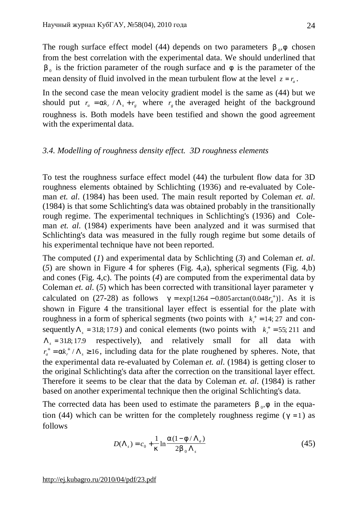The rough surface effect model (44) depends on two parameters  $b_0$ ,  $f$  chosen from the best correlation with the experimental data. We should underlined that  $b_0$  is the friction parameter of the rough surface and  $f$  is the parameter of the mean density of fluid involved in the mean turbulent flow at the level  $z = r_a$ .

In the second case the mean velocity gradient model is the same as (44) but we should put  $r_a = ak_r / \Lambda_s + r_g$  where  $r_g$  the averaged height of the background roughness is. Both models have been testified and shown the good agreement with the experimental data.

## *3.4. Modelling of roughness density effect. 3D roughness elements*

To test the roughness surface effect model (44) the turbulent flow data for 3D roughness elements obtained by Schlichting (1936) and re-evaluated by Coleman *et. al*. (1984) has been used. The main result reported by Coleman *et. al*. (1984) is that some Schlichting's data was obtained probably in the transitionally rough regime. The experimental techniques in Schlichting's (1936) and Coleman *et. al*. (1984) experiments have been analyzed and it was surmised that Schlichting's data was measured in the fully rough regime but some details of his experimental technique have not been reported.

The computed (*1*) and experimental data by Schlichting (*3*) and Coleman *et. al*. (*5*) are shown in Figure 4 for spheres (Fig. 4,a), spherical segments (Fig. 4,b) and cones (Fig. 4,c). The points (*4*) are computed from the experimental data by Coleman *et. al*. (*5*) which has been corrected with transitional layer parameter *g* calculated on (27-28) as follows  $g = \exp[1.264 - 0.805 \arctan(0.048r_a^{\dagger})]$ . As it is shown in Figure 4 the transitional layer effect is essential for the plate with roughness in a form of spherical segments (two points with  $k_r^+ = 14; 27$  and consequently  $\Lambda_s = 31.8; 17.9$ ) and conical elements (two points with  $k_r^+ = 55; 211$  and  $\Lambda$ <sub>s</sub> = 31.8;17.9 respectively), and relatively small for all data with  $r_a^+ = ak_r^+ / \Lambda_s \ge 16$ , including data for the plate roughened by spheres. Note, that the experimental data re-evaluated by Coleman *et. al*. (1984) is getting closer to the original Schlichting's data after the correction on the transitional layer effect. Therefore it seems to be clear that the data by Coleman *et. al*. (1984) is rather based on another experimental technique then the original Schlichting's data.

The corrected data has been used to estimate the parameters  $b_{0}$ ,  $f$  in the equation (44) which can be written for the completely roughness regime ( $g = 1$ ) as follows

$$
D(\Lambda_s) = c_0 + \frac{1}{k} \ln \frac{a(1 - f/\Lambda_a)}{2b_0 \Lambda_s}
$$
 (45)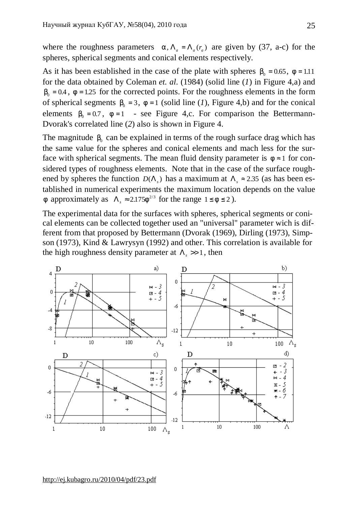where the roughness parameters  $a, \Lambda_a = \Lambda_a(r_a)$  are given by (37, a-c) for the spheres, spherical segments and conical elements respectively.

As it has been established in the case of the plate with spheres  $b_0 = 0.65$ ,  $f = 1.11$ for the data obtained by Coleman *et. al*. (1984) (solid line (*1*) in Figure 4,a) and  $b_0 = 0.4$ ,  $f = 1.25$  for the corrected points. For the roughness elements in the form of spherical segments  $b_0 = 3$ ,  $f = 1$  (solid line (*1*), Figure 4,b) and for the conical elements  $b_0 = 0.7$ ,  $f = 1$  - see Figure 4,c. For comparison the Bettermann-Dvorak's correlated line (*2*) also is shown in Figure 4.

The magnitude  $b_0$  can be explained in terms of the rough surface drag which has the same value for the spheres and conical elements and mach less for the surface with spherical segments. The mean fluid density parameter is  $f \approx 1$  for considered types of roughness elements. Note that in the case of the surface roughened by spheres the function  $D(\Lambda_s)$  has a maximum at  $\Lambda_s \approx 2.35$  (as has been established in numerical experiments the maximum location depends on the value *f* approximately as  $\Lambda_s \approx 2.175 f^{2/3}$  for the range  $1 \le f \le 2$ ).

The experimental data for the surfaces with spheres, spherical segments or conical elements can be collected together used an "universal" parameter wich is different from that proposed by Bettermann (Dvorak (1969), Dirling (1973), Simpson (1973), Kind & Lawrysyn (1992) and other. This correlation is available for the high roughness density parameter at  $\Lambda$ <sub>s</sub> >> 1, then

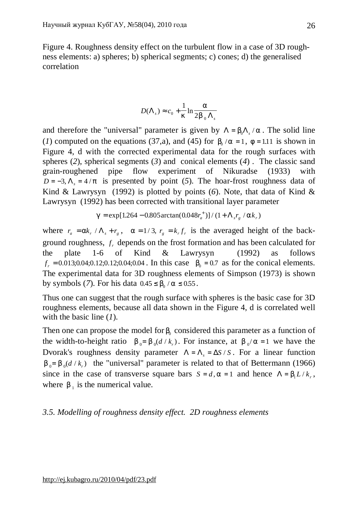Figure 4. Roughness density effect on the turbulent flow in a case of 3D roughness elements: a) spheres; b) spherical segments; c) cones; d) the generalised correlation

$$
D(\Lambda_s) \approx c_0 + \frac{1}{k} \ln \frac{a}{2b_0 \Lambda_s}
$$

and therefore the "universal" parameter is given by  $\Lambda = b_0 \Lambda_s / a$ . The solid line (*1*) computed on the equations (37,a), and (45) for  $b_0 / a = 1$ ,  $f = 1.11$  is shown in Figure 4, d with the corrected experimental data for the rough surfaces with spheres (*2*), spherical segments (*3*) and conical elements (*4*) . The classic sand grain-roughened pipe flow experiment of Nikuradse (1933) with  $D = -3$ ,  $\Lambda_s = 4/p$  is presented by point (5). The hoar-frost roughness data of Kind & Lawrysyn (1992) is plotted by points (*6*). Note, that data of Kind & Lawrysyn (1992) has been corrected with transitional layer parameter

$$
g = \exp[1.264 - 0.805 \arctan(0.048r_a^+)] / (1 + \Lambda_s r_g / ak_r)
$$

where  $r_a = ak_r / \Lambda_s + r_g$ ,  $a = 1/3$ ,  $r_g = k_r f_r$  is the averaged height of the background roughness, *f <sup>r</sup>* depends on the frost formation and has been calculated for the plate 1-6 of Kind & Lawrysyn (1992) as follows  $f_r = 0.013;0.04;0.12;0.12;0.04;0.04$ . In this case  $b_0 = 0.7$  as for the conical elements. The experimental data for 3D roughness elements of Simpson (1973) is shown by symbols (*7*). For his data  $0.45 \le b_0 / a \le 0.55$ .

Thus one can suggest that the rough surface with spheres is the basic case for 3D roughness elements, because all data shown in the Figure 4, d is correlated well with the basic line (*1*).

Then one can propose the model for  $b_0$  considered this parameter as a function of the width-to-height ratio  $b_0 = b_0(d/k_r)$ . For instance, at  $b_0/a = 1$  we have the Dvorak's roughness density parameter  $\Lambda = \Lambda_s = \Delta S / S$ . For a linear function  $b_0 = b_0(d/k_r)$  the "universal" parameter is related to that of Bettermann (1966) since in the case of transverse square bars  $S = d$ ,  $a = 1$  and hence  $\Lambda = b_1 L / k_r$ , where  $b_1$  is the numerical value.

## *3.5. Modelling of roughness density effect. 2D roughness elements*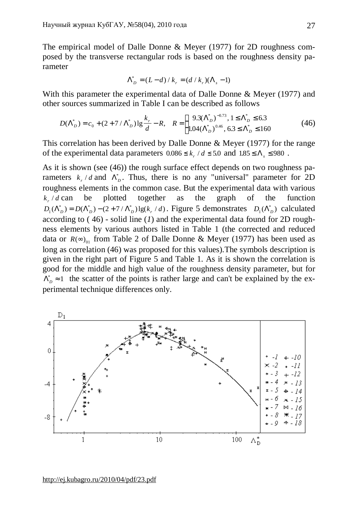The empirical model of Dalle Donne & Meyer (1977) for 2D roughness composed by the transverse rectangular rods is based on the roughness density parameter

$$
\Lambda_D^* = (L - d) / k_r = (d / k_r)(\Lambda_s - 1)
$$

With this parameter the experimental data of Dalle Donne & Meyer (1977) and other sources summarized in Table I can be described as follows

$$
D(\Lambda_D^*) = c_0 + (2 + 7/\Lambda_D^*) \lg \frac{k_r}{d} - R, \quad R = \begin{cases} 9.3(\Lambda_D^*)^{-0.73}, 1 \le \Lambda_D^* \le 6.3\\ 1.04(\Lambda_D^*)^{-0.46}, 6.3 \le \Lambda_D^* \le 160 \end{cases}
$$
(46)

This correlation has been derived by Dalle Donne & Meyer (1977) for the range of the experimental data parameters  $0.086 \le k_r / d \le 5.0$  and  $1.85 \le \Lambda_s \le 980$ .

As it is shown (see (46)) the rough surface effect depends on two roughness parameters  $k_r/d$  and  $\Lambda_D^*$ . Thus, there is no any "universal" parameter for 2D roughness elements in the common case. But the experimental data with various  $k \, / \, d$  can be plotted together as the graph of the function  $D_1(\Lambda_D^*) = D(\Lambda_D^*) - (2 + 7/\Lambda_D^*) \lg(k_r/d)$ . Figure 5 demonstrates  $D_1(\Lambda_D^*)$  calculated according to ( 46) - solid line (*1*) and the experimental data found for 2D roughness elements by various authors listed in Table 1 (the corrected and reduced data or  $R(\infty)$ <sub>01</sub> from Table 2 of Dalle Donne & Meyer (1977) has been used as long as correlation (46) was proposed for this values).The symbols description is given in the right part of Figure 5 and Table 1. As it is shown the correlation is good for the middle and high value of the roughness density parameter, but for  $\Lambda_D^* \approx 1$  the scatter of the points is rather large and can't be explained by the experimental technique differences only.

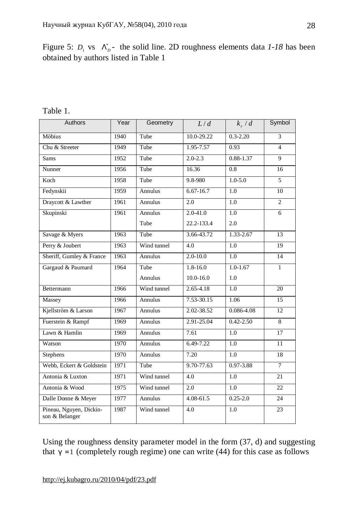Figure 5:  $D_1$  vs  $\Lambda_D^*$ - the solid line. 2D roughness elements data *1-18* has been obtained by authors listed in Table 1

### Table 1.

| Authors                                   | Year | Geometry       | L/d              | $k_{r}$ / d      | Symbol          |
|-------------------------------------------|------|----------------|------------------|------------------|-----------------|
| Möbius                                    | 1940 | Tube           | $10.0 - 29.22$   | $0.3 - 2.20$     | $\overline{3}$  |
| Chu & Streeter                            | 1949 | Tube           | $1.95 - 7.57$    | 0.93             | $\overline{4}$  |
| <b>Sams</b>                               | 1952 | Tube           | $2.0 - 2.3$      | $0.88 - 1.37$    | $\overline{9}$  |
| Nunner                                    | 1956 | Tube           | 16.36            | 0.8              | 16              |
| Koch                                      | 1958 | Tube           | 9.8-980          | $1.0 - 5.0$      | $\overline{5}$  |
| Fedynskii                                 | 1959 | Annulus        | $6.67 - 16.7$    | 1.0              | 10              |
| Draycott & Lawther                        | 1961 | <b>Annulus</b> | 2.0              | $\overline{1.0}$ | $\overline{2}$  |
| Skupinski                                 | 1961 | <b>Annulus</b> | $2.0 - 41.0$     | 1.0              | 6               |
|                                           |      | Tube           | 22.2-133.4       | 2.0              |                 |
| Savage & Myers                            | 1963 | Tube           | $3.66 - 43.72$   | $1.33 - 2.67$    | 13              |
| Perry & Joubert                           | 1963 | Wind tunnel    | $\overline{4.0}$ | $\overline{1.0}$ | $\overline{19}$ |
| Sheriff, Gumley & France                  | 1963 | Annulus        | $2.0 - 10.0$     | 1.0              | 14              |
| Gargaud & Paumard                         | 1964 | Tube           | $1.8 - 16.0$     | $1.0 - 1.67$     | $\mathbf{1}$    |
|                                           |      | Annulus        | $10.0 - 16.0$    | 1.0              |                 |
| Bettermann                                | 1966 | Wind tunnel    | $2.65 - 4.18$    | $\overline{1.0}$ | 20              |
| Massey                                    | 1966 | Annulus        | $7.53 - 30.15$   | 1.06             | $\overline{15}$ |
| Kjellström & Larson                       | 1967 | Annulus        | 2.02-38.52       | 0.086-4.08       | 12              |
| Fuerstein & Rampf                         | 1969 | Annulus        | $2.91 - 25.04$   | $0.42 - 2.50$    | 8               |
| Lawn & Hamlin                             | 1969 | Annulus        | 7.61             | 1.0              | $\overline{17}$ |
| Watson                                    | 1970 | Annulus        | $6.49 - 7.22$    | $\overline{1.0}$ | $\overline{11}$ |
| <b>Stephens</b>                           | 1970 | Annulus        | 7.20             | 1.0              | 18              |
| Webb, Eckert & Goldstein                  | 1971 | Tube           | $9.70 - 77.63$   | $0.97 - 3.88$    | $\overline{7}$  |
| Antonia & Luxton                          | 1971 | Wind tunnel    | 4.0              | 1.0              | 21              |
| Antonia & Wood                            | 1975 | Wind tunnel    | 2.0              | 1.0              | 22              |
| Dalle Donne & Meyer                       | 1977 | <b>Annulus</b> | $4.08 - 61.5$    | $0.25 - 2.0$     | 24              |
| Pineau, Nguyen, Dickin-<br>son & Belanger | 1987 | Wind tunnel    | 4.0              | 1.0              | 23              |

Using the roughness density parameter model in the form (37, d) and suggesting that  $g = 1$  (completely rough regime) one can write (44) for this case as follows

<http://ej.kubagro.ru/2010/04/pdf/23.pdf>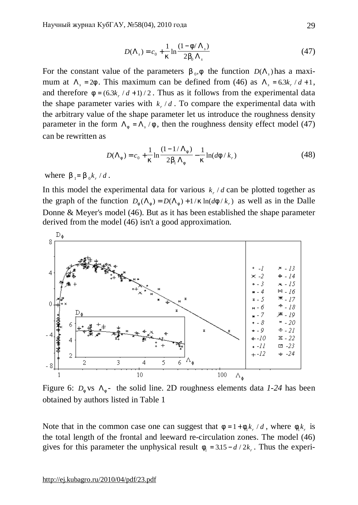$$
D(\Lambda_s) = c_0 + \frac{1}{k} \ln \frac{(1 - f/\Lambda_s)}{2b_0 \Lambda_s}
$$
 (47)

For the constant value of the parameters  $b_0$ , f the function  $D(\Lambda_s)$  has a maximum at  $\Lambda$ <sub>s</sub> = 2*f*. This maximum can be defined from (46) as  $\Lambda$ <sub>s</sub> = 6.3*k*, /d+1, and therefore  $f = (6.3k, d+1)/2$ . Thus as it follows from the experimental data the shape parameter varies with  $k_r/d$ . To compare the experimental data with the arbitrary value of the shape parameter let us introduce the roughness density parameter in the form  $\Lambda_f = \Lambda_s / f$ , then the roughness density effect model (47) can be rewritten as

$$
D(\Lambda_f) = c_0 + \frac{1}{k} \ln \frac{(1 - 1/\Lambda_f)}{2b_1 \Lambda_f} - \frac{1}{k} \ln(df/k_r)
$$
 (48)

where  $b_1 = b_0 k_r / d$ .

In this model the experimental data for various  $k_r/d$  can be plotted together as the graph of the function  $D_f(\Lambda_f) = D(\Lambda_f) + 1/k \ln(df/k_f)$  as well as in the Dalle Donne & Meyer's model (46). But as it has been established the shape parameter derived from the model (46) isn't a good approximation.



Figure 6:  $D_f$  vs  $\Lambda_f$ - the solid line. 2D roughness elements data *1-24* has been obtained by authors listed in Table 1

Note that in the common case one can suggest that  $f = 1 + f_1 k_r / d$ , where  $f_1 k_r$  is the total length of the frontal and leeward re-circulation zones. The model (46) gives for this parameter the unphysical result  $f_1 = 3.15 - d/2k_r$ . Thus the experi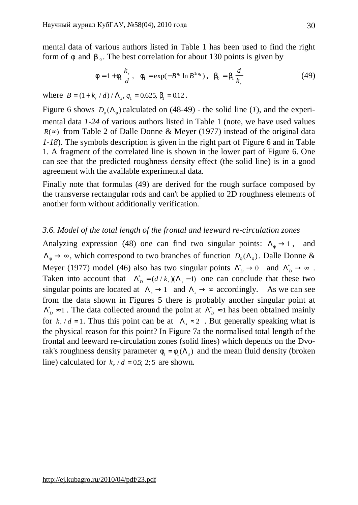mental data of various authors listed in Table 1 has been used to find the right form of  $f$  and  $b_0$ . The best correlation for about 130 points is given by

$$
f = 1 + f_1 \frac{k_r}{d}, \quad f_1 = \exp(-B^{q_1} \ln B^{1/q_1}), \quad b_0 = b_1 \frac{d}{k_r}
$$
 (49)

where  $B = (1 + k_r / d) / \Lambda_s$ ,  $q_1 = 0.625$ ,  $b_1 = 0.12$ .

Figure 6 shows  $D_f(\Lambda_f)$  calculated on (48-49) - the solid line (*1*), and the experimental data *1-24* of various authors listed in Table 1 (note, we have used values *R*( $\infty$ ) from Table 2 of Dalle Donne & Meyer (1977) instead of the original data *1-18*). The symbols description is given in the right part of Figure 6 and in Table 1. A fragment of the correlated line is shown in the lower part of Figure 6. One can see that the predicted roughness density effect (the solid line) is in a good agreement with the available experimental data.

Finally note that formulas (49) are derived for the rough surface composed by the transverse rectangular rods and can't be applied to 2D roughness elements of another form without additionally verification.

## *3.6. Model of the total length of the frontal and leeward re-circulation zones*

Analyzing expression (48) one can find two singular points:  $\Lambda_f \rightarrow 1$ , and  $\Lambda_f \to \infty$ , which correspond to two branches of function  $D_f(\Lambda_f)$ . Dalle Donne & Meyer (1977) model (46) also has two singular points  $\Lambda_D^* \to 0$  and  $\Lambda_D^* \to \infty$ . Taken into account that  $\Lambda_D^* = (d / k_r)(\Lambda_s - 1)$  one can conclude that these two singular points are located at  $\Lambda$ <sub>s</sub>  $\rightarrow$  1 and  $\Lambda$ <sub>s</sub> $\rightarrow$  ∞ accordingly. As we can see from the data shown in Figures 5 there is probably another singular point at  $\Lambda_D^* \approx 1$ . The data collected around the point at  $\Lambda_D^* \approx 1$  has been obtained mainly for  $k_r/d = 1$ . Thus this point can be at  $\Lambda_s \approx 2$ . But generally speaking what is the physical reason for this point? In Figure 7a the normalised total length of the frontal and leeward re-circulation zones (solid lines) which depends on the Dvorak's roughness density parameter  $f_1 = f_1(\Lambda_s)$  and the mean fluid density (broken line) calculated for  $k_r / d = 0.5$ ; 2; 5 are shown.

30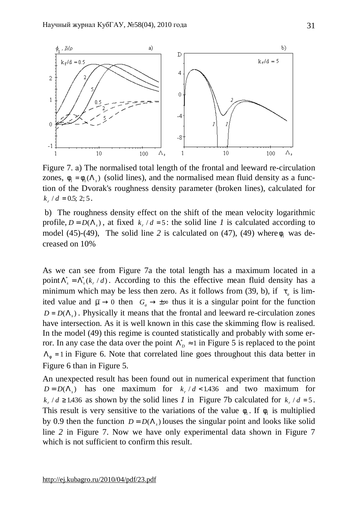

Figure 7. а) The normalised total length of the frontal and leeward re-circulation zones,  $f_1 = f_1(\Lambda_s)$  (solid lines), and the normalised mean fluid density as a function of the Dvorak's roughness density parameter (broken lines), calculated for  $k_r / d = 0.5; 2; 5.$ 

b) The roughness density effect on the shift of the mean velocity logarithmic profile,  $D = D(\Lambda_s)$ , at fixed  $k_r/d = 5$ : the solid line *l* is calculated according to model (45)-(49), The solid line 2 is calculated on (47), (49) where  $f_1$  was decreased on 10%

As we can see from Figure 7a the total length has a maximum located in a point  $\Lambda_s^* = \Lambda_s^*(k_r / d)$ . According to this the effective mean fluid density has a minimum which may be less then zero. As it follows from (39, b), if  $t_a$  is limited value and  $\overline{m} \to 0$  then  $G_a \to \pm \infty$  thus it is a singular point for the function  $D = D(\Lambda_s)$ . Physically it means that the frontal and leeward re-circulation zones have intersection. As it is well known in this case the skimming flow is realised. In the model (49) this regime is counted statistically and probably with some error. In any case the data over the point  $\Lambda_D^* \approx 1$  in Figure 5 is replaced to the point  $\Lambda_f = 1$  in Figure 6. Note that correlated line goes throughout this data better in Figure 6 than in Figure 5.

An unexpected result has been found out in numerical experiment that function  $D = D(\Lambda_s)$  has one maximum for  $k_r/d < 1.436$  and two maximum for  $k_r/d \ge 1.436$  as shown by the solid lines *1* in Figure 7b calculated for  $k_r/d = 5$ . This result is very sensitive to the variations of the value  $f_1$ . If  $f_1$  is multiplied by 0.9 then the function  $D = D(\Lambda_s)$  louses the singular point and looks like solid line *2* in Figure 7. Now we have only experimental data shown in Figure 7 which is not sufficient to confirm this result.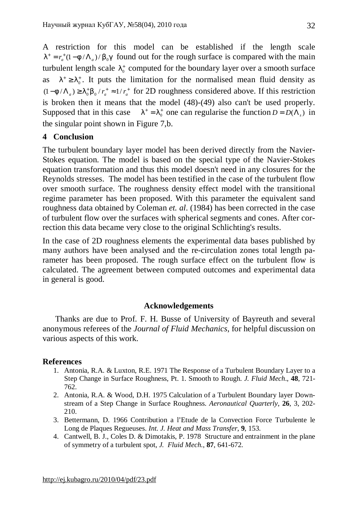A restriction for this model can be established if the length scale  $I^+ = r_a^+ (1 - f / \Lambda_a) / b_0 g$  found out for the rough surface is compared with the main turbulent length scale  $I_0^+$  computed for the boundary layer over a smooth surface as  $l^+ \geq l_0^+$ . It puts the limitation for the normalised mean fluid density as  $(1 - f/\Lambda_a) \geq I_0^+ b_0 / r_a^+ \approx 1/r_a^+$  for 2D roughness considered above. If this restriction is broken then it means that the model (48)-(49) also can't be used properly. Supposed that in this case  $I^+ = I_0^+$  one can regularise the function  $D = D(\Lambda_s)$  in the singular point shown in Figure 7,b.

# **4 Conclusion**

The turbulent boundary layer model has been derived directly from the Navier-Stokes equation. The model is based on the special type of the Navier-Stokes equation transformation and thus this model doesn't need in any closures for the Reynolds stresses. The model has been testified in the case of the turbulent flow over smooth surface. The roughness density effect model with the transitional regime parameter has been proposed. With this parameter the equivalent sand roughness data obtained by Coleman *et. al*. (1984) has been corrected in the case of turbulent flow over the surfaces with spherical segments and cones. After correction this data became very close to the original Schlichting's results.

In the case of 2D roughness elements the experimental data bases published by many authors have been analysed and the re-circulation zones total length parameter has been proposed. The rough surface effect on the turbulent flow is calculated. The agreement between computed outcomes and experimental data in general is good.

## **Acknowledgements**

 Thanks are due to Prof. F. H. Busse of University of Bayreuth and several anonymous referees of the *Journal of Fluid Mechanics*, for helpful discussion on various aspects of this work.

## **References**

- 1. Antonia, R.A. & Luxton, R.E. 1971 The Response of a Turbulent Boundary Layer to a Step Change in Surface Roughness, Pt. 1. Smooth to Rough. *J. Fluid Mech*., **48**, 721- 762.
- 2. Antonia, R.A. & Wood, D.H. 1975 Calculation of a Turbulent Boundary layer Downstream of a Step Change in Surface Roughness. *Aeronautical Quarterly*, **26**, 3, 202- 210.
- 3. Bettermann, D. 1966 Contribution a l'Etude de la Convection Force Turbulente le Long de Plaques Regueuses. *Int. J. Heat and Mass Transfer*, **9**, 153.
- 4. Cantwell, B. J., Coles D. & Dimotakis, P. 1978 Structure and entrainment in the plane of symmetry of a turbulent spot, *J. Fluid Mech.*, **87**, 641-672.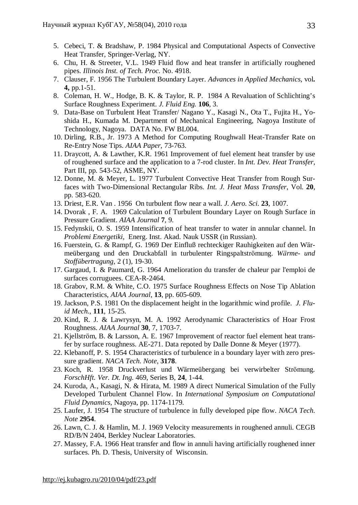- 5. Cebeci, T. & Bradshaw, P. 1984 Physical and Computational Aspects of Convective Heat Transfer*,* Springer-Verlag, NY.
- 6. Chu, H. & Streeter, V.L. 1949 Fluid flow and heat transfer in artificially roughened pipes. *Illinois Inst. of Tech. Proc.* No. 4918.
- 7. Clauser, F. 1956 The Turbulent Boundary Layer. *Advances in Applied Mechanics*, vol**. 4,** pp.1-51.
- 8. Coleman, H. W., Hodge, B. K. & Taylor, R. P. 1984 A Revaluation of Schlichting's Surface Roughness Experiment. *J. Fluid Eng.* **106**, 3.
- 9. Data-Base on Turbulent Heat Transfer/ Nagano Y., Kasagi N., Ota T., Fujita H., Yoshida H., Kumada M. Department of Mechanical Engineering, Nagoya Institute of Technology, Nagoya. DATA No. FW BL004.
- 10. Dirling, R.B., Jr. 1973 A Method for Computing Roughwall Heat-Transfer Rate on Re-Entry Nose Tips. *AIAA Paper*, 73-763.
- 11. Draycott, A. & Lawther, K.R. 1961 Improvement of fuel element heat transfer by use of roughened surface and the application to a 7-rod cluster. In *Int. Dev. Heat Transfer*, Part III, pp. 543-52, ASME, NY.
- 12. Donne, M. & Meyer, L. 1977 Turbulent Convective Heat Transfer from Rough Surfaces with Two-Dimensional Rectangular Ribs. *Int. J. Heat Mass Transfer*, Vol. **20**, pp. 583-620.
- 13. Driest, E.R. Van . 1956 On turbulent flow near a wall. *J. Aero. Sci.* **23**, 1007.
- 14. Dvorak , F. A. 1969 Calculation of Turbulent Boundary Layer on Rough Surface in Pressure Gradient. *AIAA Journal* **7**, 9.
- 15. Fedynskii, O. S. 1959 Intensification of heat transfer to water in annular channel. In *Problemi Energetiki*, Energ. Inst. Akad. Nauk USSR (in Russian).
- 16. Fuerstein, G. & Rampf, G. 1969 Der Einfluß rechteckiger Rauhigkeiten auf den Wärmeübergang und den Druckabfall in turbulenter Ringspaltströmung. *Wärme- und Stoffübertragung*, 2 (1), 19-30.
- 17. Gargaud, I. & Paumard, G. 1964 Amelioration du transfer de chaleur par l'emploi de surfaces corruguees. CEA-R-2464.
- 18. Grabov, R.M. & White, C.O. 1975 Surface Roughness Effects on Nose Tip Ablation Characteristics, *AIAA Journal*, **13**, pp. 605-609.
- 19. Jackson, P.S. 1981 On the displacement height in the logarithmic wind profile. *J. Fluid Mech.*, **111**, 15-25.
- 20. Kind, R. J. & Lawrysyn, M. A. 1992 Aerodynamic Characteristics of Hoar Frost Roughness. *AIAA Journal* **30**, 7, 1703-7.
- 21. Kjellström, B. & Larsson, A. E. 1967 Improvement of reactor fuel element heat transfer by surface roughness. AE-271. Data repoted by Dalle Donne & Meyer (1977).
- 22. Klebanoff, P. S. 1954 Characteristics of turbulence in a boundary layer with zero pressure gradient. *NACA Tech. Note*, **3178**.
- 23. Koch, R. 1958 Druckverlust und Wärmeübergang bei verwirbelter Strömung*. ForschHft. Ver. Dt. Ing.* 469, Series B, **24**, 1-44.
- 24. Kuroda, A., Kasagi, N. & Hirata, M. 1989 A direct Numerical Simulation of the Fully Developed Turbulent Channel Flow. In *International Symposium on Computational Fluid Dynamics,* Nagoya, pp. 1174-1179.
- 25. Laufer, J. 1954 The structure of turbulence in fully developed pipe flow. *NACA Tech. Note* **2954**.
- 26. Lawn, C. J. & Hamlin, M. J. 1969 Velocity measurements in roughened annuli. CEGB RD/B/N 2404, Berkley Nuclear Laboratories.
- 27. Massey, F.A. 1966 Heat transfer and flow in annuli having artificially roughened inner surfaces. Ph. D. Thesis, University of Wisconsin.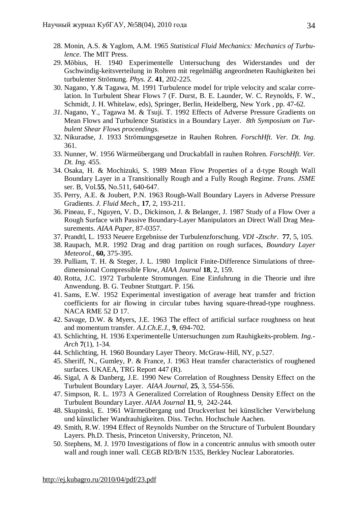- 28. Monin, A.S. & Yaglom, A.M. 1965 *Statistical Fluid Mechanics: Mechanics of Turbulence*. The MIT Press.
- 29. Möbius, H. 1940 Experimentelle Untersuchung des Widerstandes und der Gschwindig-keitsverteilung in Rohren mit regelmäßig angeordneten Rauhigkeiten bei turbulenter Strömung. *Phys. Z*. **41**, 202-225.
- 30. Nagano, Y.& Tagawa, M. 1991 Turbulence model for triple velocity and scalar correlation. In Turbulent Shear Flows 7 (F. Durst, B. E. Launder, W. C. Reynolds, F. W., Schmidt, J. H. Whitelaw, eds), Springer, Berlin, Heidelberg, New York , pp. 47-62.
- *31.* Nagano, Y., Tagawa M. & Tsuji. T. 1992 Effects of Adverse Pressure Gradients on Mean Flows and Turbulence Statistics in a Boundary Layer. *8th Symposium on Turbulent Shear Flows proceedings.*
- 32. Nikuradse, J. 1933 Strömungsgesetze in Rauhen Rohren. *ForschHft. Ver. Dt. Ing.* 361.
- 33. Nunner, W. 1956 Wärmeübergang und Druckabfall in rauhen Rohren. *ForschHft. Ver. Dt. Ing.* 455.
- 34. Osaka, H. & Mochizuki, S. 1989 Mean Flow Properties of a d-type Rough Wall Boundary Layer in a Transitionally Rough and a Fully Rough Regime. *Trans. JSME* ser. B, Vol.**55**, No.511, 640-647.
- 35. Perry, A.E. & Joubert, P.N. 1963 Rough-Wall Boundary Layers in Adverse Pressure Gradients. *J. Fluid Mech*., **17**, 2, 193-211.
- 36. Pineau, F., Nguyen, V. D., Dickinson, J. & Belanger, J. 1987 Study of a Flow Over a Rough Surface with Passive Boundary-Layer Manipulators an Direct Wall Drag Measurements. *AIAA Paper*, 87-0357.
- 37. Prandtl, L. 1933 Neuere Ergebnisse der Turbulenzforschung. *VDI -Ztschr*. **77**, 5, 105.
- 38. Raupach, M.R. 1992 Drag and drag partition on rough surfaces, *Boundary Layer Meteorol.*, **60,** 375-395.
- 39. Pulliam, T. H. & Steger, J. L. 1980 Implicit Finite-Difference Simulations of threedimensional Compressible Flow, *AIAA Journal* **18**, 2, 159.
- 40. Rotta, J.C. 1972 Turbulente Stromungen. Eine Einfuhrung in die Theorie und ihre Anwendung. B. G. Teubner Stuttgart. P. 156.
- 41. Sams, E.W. 1952 Experimental investigation of average heat transfer and friction coefficients for air flowing in circular tubes having square-thread-type roughness. NACA RME 52 D 17.
- 42. Savage, D.W. & Myers, J.E. 1963 The effect of artificial surface roughness on heat and momentum transfer. *A.I.Ch.E.J*., **9**, 694-702.
- 43. Schlichting, H. 1936 Experimentelle Untersuchungen zum Rauhigkeits-problem. *Ing.- Arch* **7**(1), 1-34.
- 44. Schlichting, H. 1960 Boundary Layer Theory. McGraw-Hill, NY, p.527.
- 45. Sheriff, N., Gumley, P. & France, J. 1963 Heat transfer characteristics of roughened surfaces. UKAEA, TRG Report 447 (R).
- 46. Sigal, A & Danberg, J.E. 1990 New Correlation of Roughness Density Effect on the Turbulent Boundary Layer. *AIAA Journal*, **25**, 3, 554-556.
- 47. Simpson, R. L. 1973 A Generalized Correlation of Roughness Density Effect on the Turbulent Boundary Layer. *AIAA Journal* **11**, 9, 242-244.
- 48. Skupinski, E. 1961 Wärmeübergang und Druckverlust bei künstlicher Verwirbelung und künstlicher Wandrauhigkeiten. Diss. Techn. Hochschule Aachen.
- 49. Smith, R.W. 1994 Effect of Reynolds Number on the Structure of Turbulent Boundary Layers. Ph.D. Thesis, Princeton University, Princeton, NJ.
- 50. Stephens, M. J. 1970 Investigations of flow in a concentric annulus with smooth outer wall and rough inner wall. CEGB RD/B/N 1535, Berkley Nuclear Laboratories.